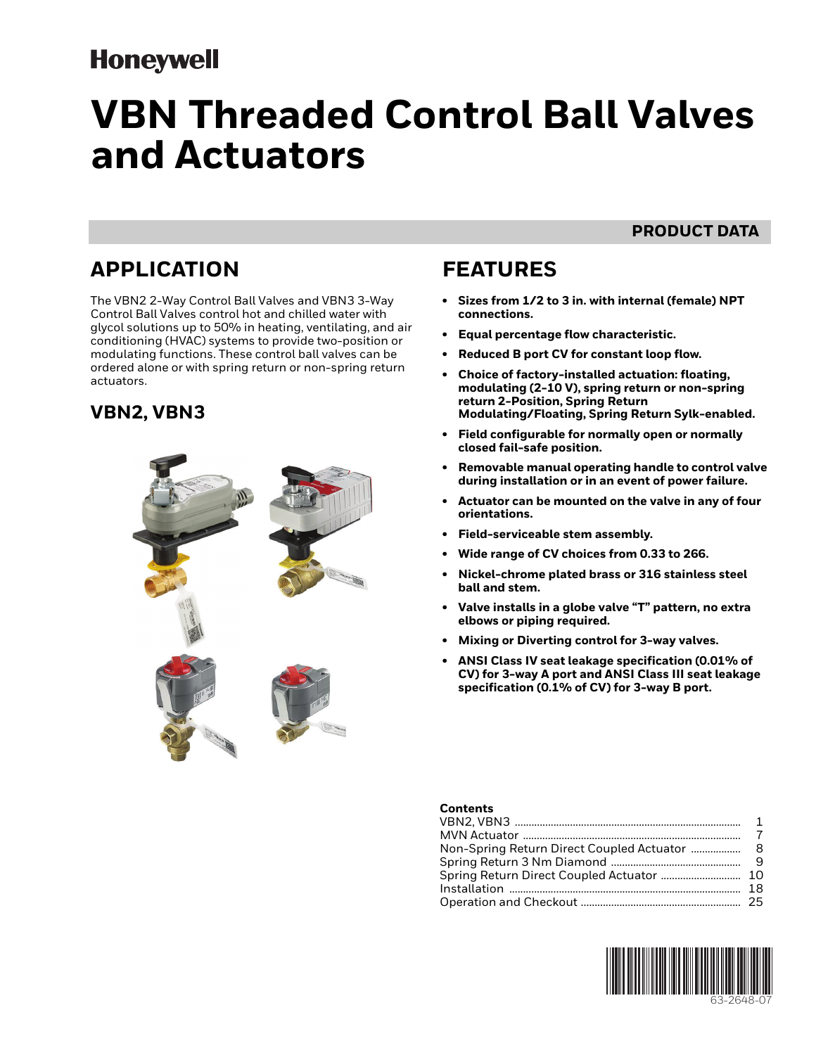## **Honeywell**

# **VBN Threaded Control Ball Valves and Actuators**

### **PRODUCT DATA**

## **APPLICATION**

The VBN2 2-Way Control Ball Valves and VBN3 3-Way Control Ball Valves control hot and chilled water with glycol solutions up to 50% in heating, ventilating, and air conditioning (HVAC) systems to provide two-position or modulating functions. These control ball valves can be ordered alone or with spring return or non-spring return actuators.

### <span id="page-0-0"></span>**VBN2, VBN3**



## **FEATURES**

- **Sizes from 1/2 to 3 in. with internal (female) NPT connections.**
- **Equal percentage flow characteristic.**
- **Reduced B port CV for constant loop flow.**
- **Choice of factory-installed actuation: floating, modulating (2-10 V), spring return or non-spring return 2-Position, Spring Return Modulating/Floating, Spring Return Sylk-enabled.**
- **Field configurable for normally open or normally closed fail-safe position.**
- **Removable manual operating handle to control valve during installation or in an event of power failure.**
- **Actuator can be mounted on the valve in any of four orientations.**
- **Field-serviceable stem assembly.**
- **Wide range of CV choices from 0.33 to 266.**
- **Nickel-chrome plated brass or 316 stainless steel ball and stem.**
- **Valve installs in a globe valve "T" pattern, no extra elbows or piping required.**
- **Mixing or Diverting control for 3-way valves.**
- **ANSI Class IV seat leakage specification (0.01% of CV) for 3-way A port and ANSI Class III seat leakage specification (0.1% of CV) for 3-way B port.**

#### **Contents**

| Non-Spring Return Direct Coupled Actuator  8 |  |
|----------------------------------------------|--|
|                                              |  |
|                                              |  |
|                                              |  |
|                                              |  |
|                                              |  |

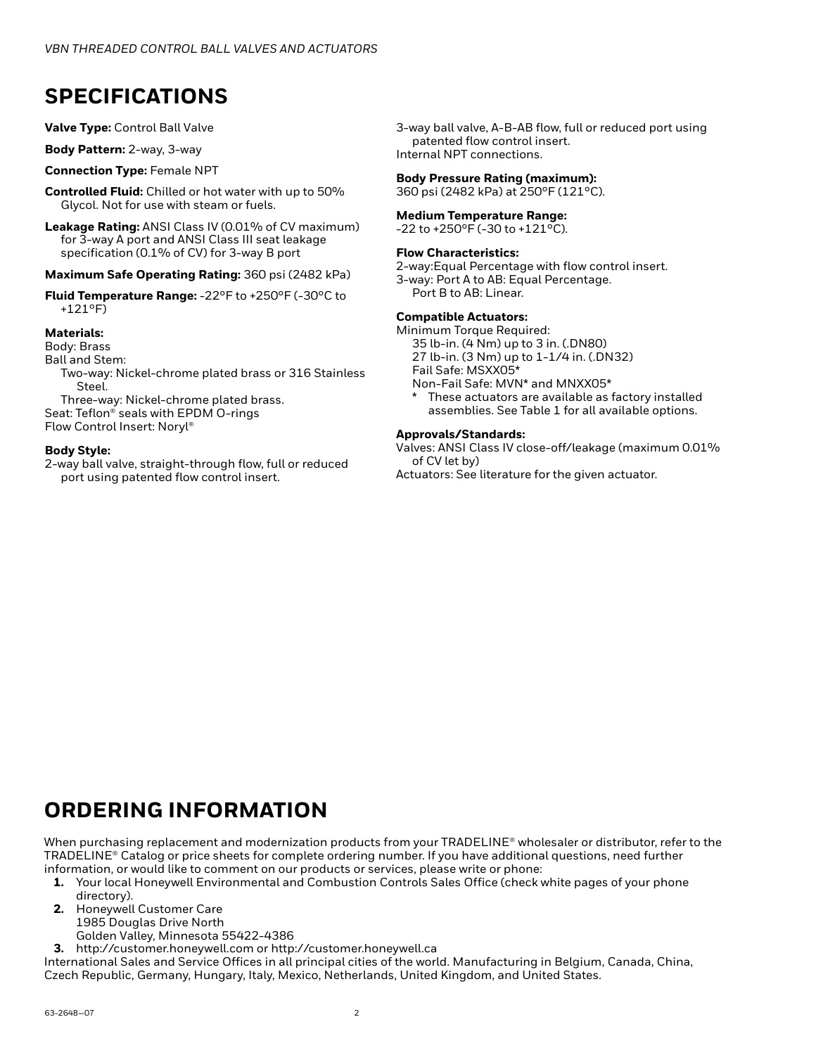## **SPECIFICATIONS**

**Valve Type:** Control Ball Valve

**Body Pattern:** 2-way, 3-way

#### **Connection Type:** Female NPT

- **Controlled Fluid:** Chilled or hot water with up to 50% Glycol. Not for use with steam or fuels.
- **Leakage Rating:** ANSI Class IV (0.01% of CV maximum) for 3-way A port and ANSI Class III seat leakage specification (0.1% of CV) for 3-way B port

**Maximum Safe Operating Rating:** 360 psi (2482 kPa)

**Fluid Temperature Range:** -22°F to +250°F (-30°C to +121°F)

#### **Materials:**

Body: Brass

Ball and Stem:

Two-way: Nickel-chrome plated brass or 316 Stainless Steel.

Three-way: Nickel-chrome plated brass. Seat: Teflon® seals with EPDM O-rings Flow Control Insert: Noryl®

#### **Body Style:**

2-way ball valve, straight-through flow, full or reduced port using patented flow control insert.

3-way ball valve, A-B-AB flow, full or reduced port using patented flow control insert. Internal NPT connections.

#### **Body Pressure Rating (maximum):**

360 psi (2482 kPa) at 250°F (121°C).

#### **Medium Temperature Range:**

 $-22$  to  $+250$ °F ( $-30$  to  $+121$ °C).

#### **Flow Characteristics:**

2-way:Equal Percentage with flow control insert.

3-way: Port A to AB: Equal Percentage. Port B to AB: Linear.

#### **Compatible Actuators:**

Minimum Torque Required: 35 lb-in. (4 Nm) up to 3 in. (.DN80) 27 lb-in. (3 Nm) up to 1-1/4 in. (.DN32)

Fail Safe: MSXX05\*

Non-Fail Safe: MVN\* and MNXX05\*

These actuators are available as factory installed assemblies. See [Table 1](#page-2-0) for all available options.

#### **Approvals/Standards:**

Valves: ANSI Class IV close-off/leakage (maximum 0.01% of CV let by)

Actuators: See literature for the given actuator.

### **ORDERING INFORMATION**

When purchasing replacement and modernization products from your TRADELINE® wholesaler or distributor, refer to the TRADELINE® Catalog or price sheets for complete ordering number. If you have additional questions, need further information, or would like to comment on our products or services, please write or phone:

- **1.** Your local Honeywell Environmental and Combustion Controls Sales Office (check white pages of your phone directory).
- **2.** Honeywell Customer Care
	- 1985 Douglas Drive North
	- Golden Valley, Minnesota 55422-4386
- **3.** http://customer.honeywell.com or http://customer.honeywell.ca

International Sales and Service Offices in all principal cities of the world. Manufacturing in Belgium, Canada, China, Czech Republic, Germany, Hungary, Italy, Mexico, Netherlands, United Kingdom, and United States.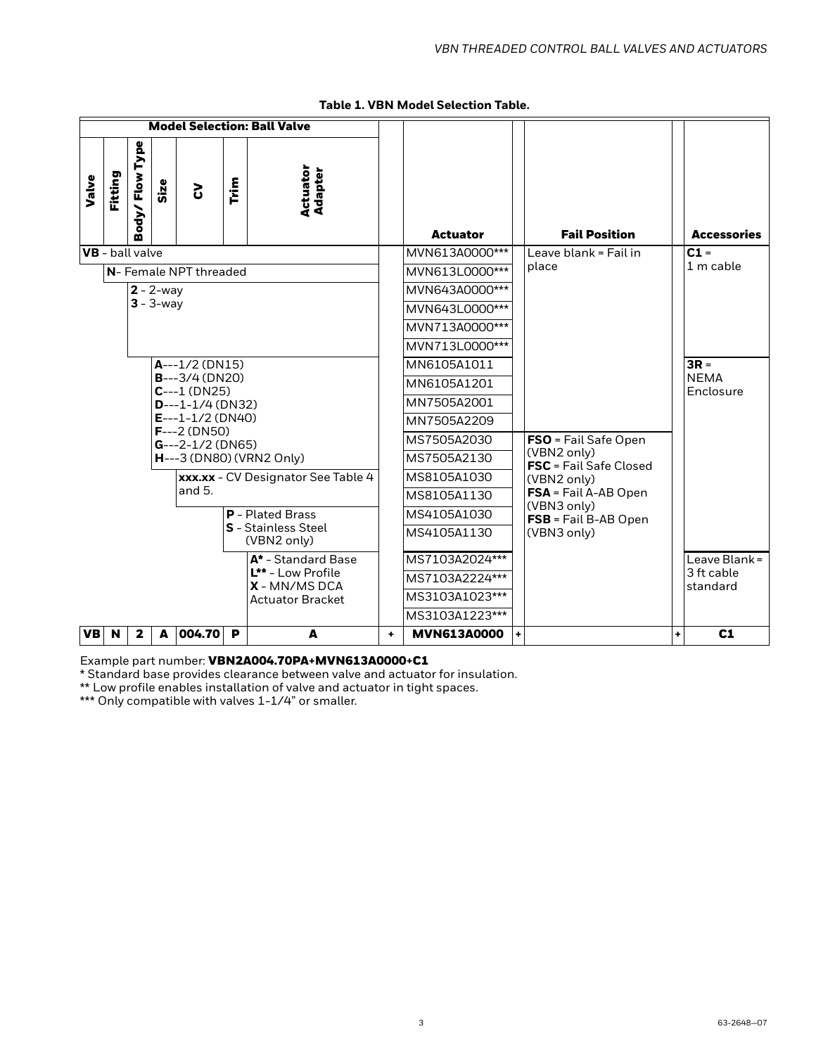<span id="page-2-0"></span>

| <b>Model Selection: Ball Valve</b>                                                                   |    |                    |     |                                       |           |                          |
|------------------------------------------------------------------------------------------------------|----|--------------------|-----|---------------------------------------|-----------|--------------------------|
| Flow Type<br>Actuator<br><b>Adapter</b><br>Fitting<br>Valve<br><b>Trim</b><br>Size<br>3<br>ody/<br>m |    | <b>Actuator</b>    |     | <b>Fail Position</b>                  |           | <b>Accessories</b>       |
| <b>VB</b> - ball valve                                                                               |    | MVN613A0000***     |     | Leave blank = Fail in                 |           | $C1 =$                   |
| N-Female NPT threaded                                                                                |    | MVN613L0000***     |     | place                                 |           | 1 m cable                |
| $2 - 2$ -way                                                                                         |    | MVN643A0000***     |     |                                       |           |                          |
| $3 - 3$ -way                                                                                         |    | MVN643L0000***     |     |                                       |           |                          |
|                                                                                                      |    | MVN713A0000***     |     |                                       |           |                          |
|                                                                                                      |    | MVN713L0000***     |     |                                       |           |                          |
| $A--1/2$ (DN15)                                                                                      |    | MN6105A1011        |     |                                       |           | $3R =$                   |
| $B--3/4$ (DN20)<br>$C--1$ (DN25)                                                                     |    | MN6105A1201        |     |                                       |           | <b>NEMA</b><br>Enclosure |
| $D--1-1/4$ (DN32)                                                                                    |    | MN7505A2001        |     |                                       |           |                          |
| $E---1-1/2$ (DN40)<br>$F---2$ (DN50)                                                                 |    | MN7505A2209        |     |                                       |           |                          |
| $G--2-1/2$ (DN65)                                                                                    |    | MS7505A2030        |     | FSO = Fail Safe Open                  |           |                          |
| H---3 (DN80) (VRN2 Only)                                                                             |    | MS7505A2130        |     | (VBN2 only)<br>FSC = Fail Safe Closed |           |                          |
| xxx.xx - CV Designator See Table 4                                                                   |    | MS8105A1030        |     | (VBN2 only)                           |           |                          |
| and $5.$                                                                                             |    | MS8105A1130        |     | FSA = Fail A-AB Open<br>(VBN3 only)   |           |                          |
| <b>P</b> - Plated Brass                                                                              |    | MS4105A1030        |     | FSB = Fail B-AB Open                  |           |                          |
| <b>S</b> - Stainless Steel<br>(VBN2 only)                                                            |    | MS4105A1130        |     | (VBN3 only)                           |           |                          |
| A <sup>*</sup> - Standard Base                                                                       |    | MS7103A2024***     |     |                                       |           | Leave Blank =            |
| L** - Low Profile<br><b>X</b> - MN/MS DCA                                                            |    | MS7103A2224***     |     |                                       |           | 3 ft cable<br>standard   |
| <b>Actuator Bracket</b>                                                                              |    | MS3103A1023***     |     |                                       |           |                          |
|                                                                                                      |    | MS3103A1223***     |     |                                       |           |                          |
| 004.70<br>P<br><b>VB</b><br>$\mathbf{2}$<br>A<br><b>N</b><br>A                                       | ÷. | <b>MVN613A0000</b> | $+$ |                                       | $\ddot{}$ | C <sub>1</sub>           |

### **Table 1. VBN Model Selection Table.**

Example part number: VBN2A004.70PA+MVN613A0000+C1

\* Standard base provides clearance between valve and actuator for insulation.

\*\* Low profile enables installation of valve and actuator in tight spaces.

\*\*\* Only compatible with valves 1-1/4" or smaller.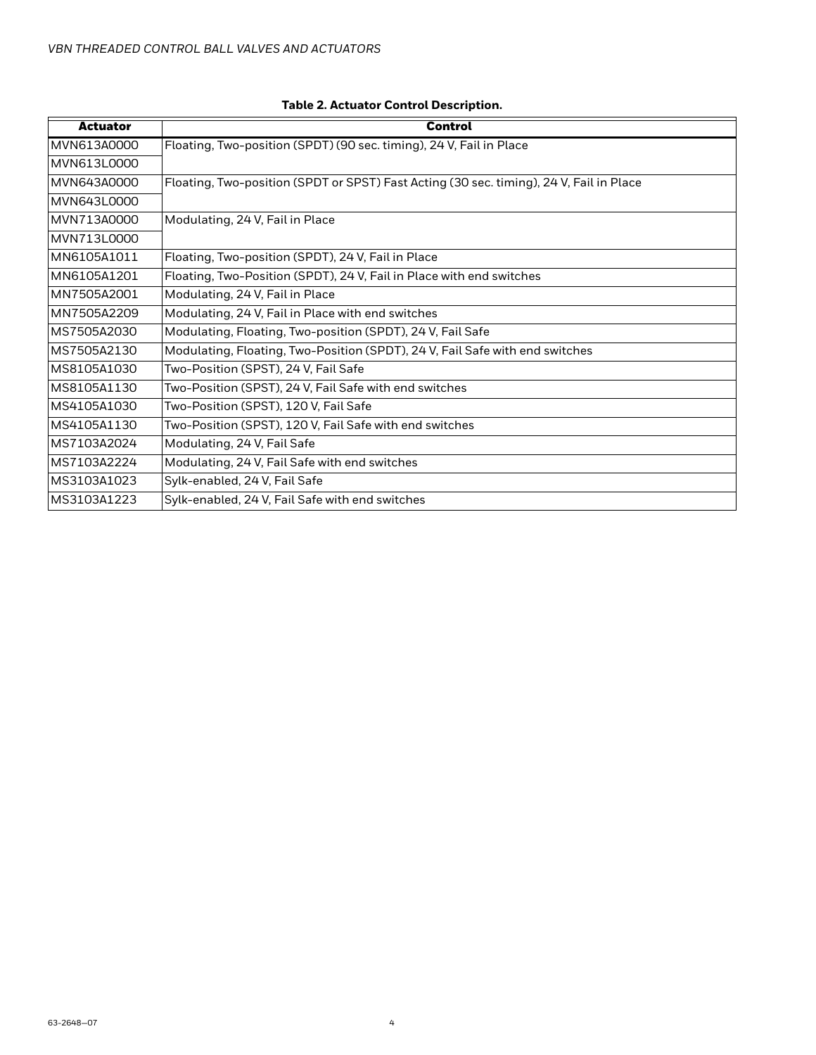| <b>Actuator</b> | <b>Control</b>                                                                          |
|-----------------|-----------------------------------------------------------------------------------------|
| MVN613A0000     | Floating, Two-position (SPDT) (90 sec. timing), 24 V, Fail in Place                     |
| MVN613L0000     |                                                                                         |
| MVN643A0000     | Floating, Two-position (SPDT or SPST) Fast Acting (30 sec. timing), 24 V, Fail in Place |
| MVN643L0000     |                                                                                         |
| MVN713A0000     | Modulating, 24 V, Fail in Place                                                         |
| MVN713L0000     |                                                                                         |
| MN6105A1011     | Floating, Two-position (SPDT), 24 V, Fail in Place                                      |
| MN6105A1201     | Floating, Two-Position (SPDT), 24 V, Fail in Place with end switches                    |
| MN7505A2001     | Modulating, 24 V, Fail in Place                                                         |
| MN7505A2209     | Modulating, 24 V, Fail in Place with end switches                                       |
| MS7505A2030     | Modulating, Floating, Two-position (SPDT), 24 V, Fail Safe                              |
| MS7505A2130     | Modulating, Floating, Two-Position (SPDT), 24 V, Fail Safe with end switches            |
| MS8105A1030     | Two-Position (SPST), 24 V, Fail Safe                                                    |
| MS8105A1130     | Two-Position (SPST), 24 V, Fail Safe with end switches                                  |
| MS4105A1030     | Two-Position (SPST), 120 V, Fail Safe                                                   |
| MS4105A1130     | Two-Position (SPST), 120 V, Fail Safe with end switches                                 |
| MS7103A2024     | Modulating, 24 V, Fail Safe                                                             |
| MS7103A2224     | Modulating, 24 V, Fail Safe with end switches                                           |
| MS3103A1023     | Sylk-enabled, 24 V, Fail Safe                                                           |
| MS3103A1223     | Sylk-enabled, 24 V, Fail Safe with end switches                                         |

### **Table 2. Actuator Control Description.**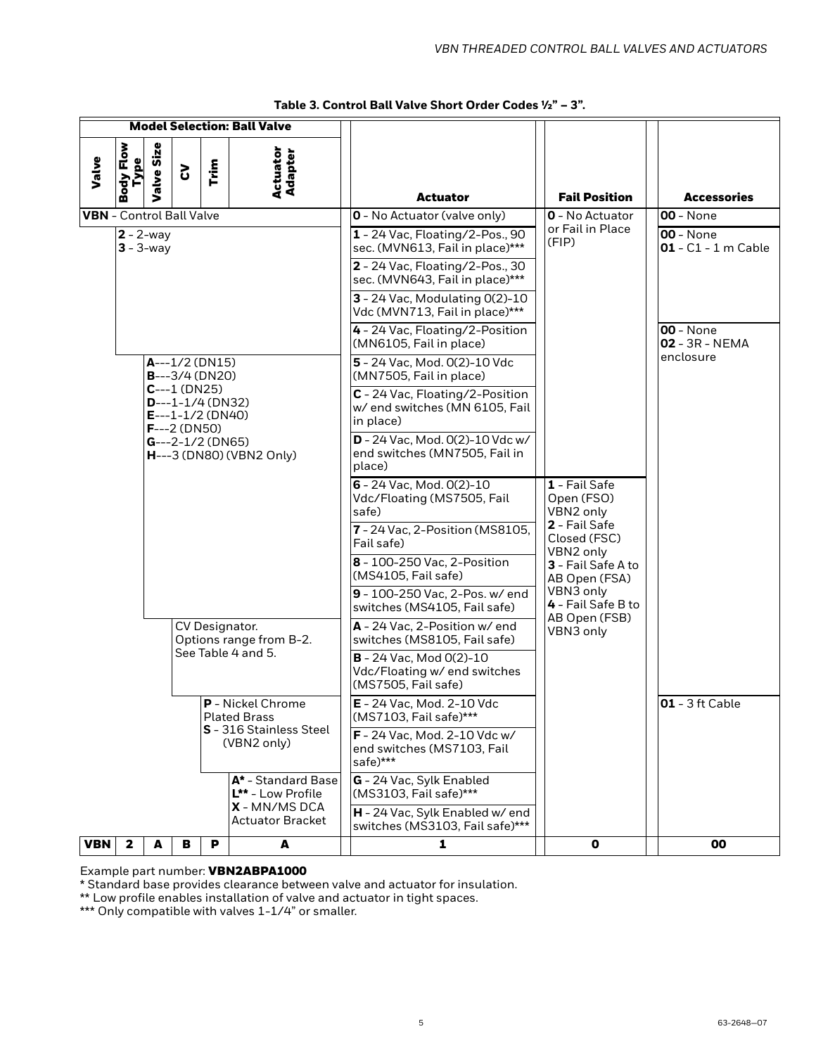|                                 | <b>Model Selection: Ball Valve</b>                  |                                                             |   |                                                                                                                         |                                                                                       |   |                                                                                                             |   |                                                  |                                    |                                           |  |  |  |  |
|---------------------------------|-----------------------------------------------------|-------------------------------------------------------------|---|-------------------------------------------------------------------------------------------------------------------------|---------------------------------------------------------------------------------------|---|-------------------------------------------------------------------------------------------------------------|---|--------------------------------------------------|------------------------------------|-------------------------------------------|--|--|--|--|
| Valve                           | Flow<br><b>Type</b><br>l Kpo<br>œ                   | Valve Size                                                  | 5 | Trim                                                                                                                    | Actuator<br>Adapter                                                                   |   | <b>Actuator</b>                                                                                             |   | <b>Fail Position</b>                             |                                    | <b>Accessories</b>                        |  |  |  |  |
| <b>VBN</b> - Control Ball Valve |                                                     |                                                             |   |                                                                                                                         |                                                                                       |   | <b>0</b> - No Actuator (valve only)                                                                         |   | <b>0</b> - No Actuator                           |                                    | <b>00</b> - None                          |  |  |  |  |
|                                 |                                                     | $2 - 2 - way$<br>$3 - 3$ -way                               |   |                                                                                                                         |                                                                                       |   | 1 - 24 Vac, Floating/2-Pos., 90<br>sec. (MVN613, Fail in place)***                                          |   | or Fail in Place<br>(FIP)                        |                                    | <b>00</b> - None<br>$01 - C1 - 1$ m Cable |  |  |  |  |
|                                 |                                                     |                                                             |   |                                                                                                                         |                                                                                       |   | 2 - 24 Vac, Floating/2-Pos., 30<br>sec. (MVN643, Fail in place)***                                          |   |                                                  |                                    |                                           |  |  |  |  |
|                                 |                                                     |                                                             |   |                                                                                                                         |                                                                                       |   | 3 - 24 Vac, Modulating 0(2)-10<br>Vdc (MVN713, Fail in place)***                                            |   |                                                  |                                    |                                           |  |  |  |  |
|                                 |                                                     |                                                             |   |                                                                                                                         |                                                                                       |   | 4 - 24 Vac, Floating/2-Position<br>(MN6105, Fail in place)                                                  |   |                                                  | <b>00 - None</b><br>02 - 3R - NEMA |                                           |  |  |  |  |
|                                 | $A--1/2$ (DN15)<br>$B--3/4$ (DN20)<br>$C--1$ (DN25) |                                                             |   |                                                                                                                         |                                                                                       |   | 5 - 24 Vac, Mod. 0(2)-10 Vdc<br>(MN7505, Fail in place)                                                     |   |                                                  |                                    | enclosure                                 |  |  |  |  |
|                                 |                                                     | $D$ ---1-1/4 (DN32)<br>$E---1-1/2$ (DN40)<br>$F---2$ (DN50) |   |                                                                                                                         |                                                                                       |   | C - 24 Vac, Floating/2-Position<br>w/ end switches (MN 6105, Fail<br>in place)                              |   |                                                  |                                    |                                           |  |  |  |  |
|                                 |                                                     | $G--2-1/2$ (DN65)<br><b>H</b> ---3 (DN80) (VBN2 Only)       |   |                                                                                                                         |                                                                                       |   | D - 24 Vac, Mod. 0(2)-10 Vdc w/<br>end switches (MN7505, Fail in<br>place)                                  |   |                                                  |                                    |                                           |  |  |  |  |
|                                 |                                                     |                                                             |   |                                                                                                                         |                                                                                       |   | 6 - 24 Vac, Mod. 0(2)-10<br>1 - Fail Safe<br>Vdc/Floating (MS7505, Fail<br>Open (FSO)<br>safe)<br>VBN2 only |   |                                                  |                                    |                                           |  |  |  |  |
|                                 |                                                     |                                                             |   |                                                                                                                         |                                                                                       |   | 7 - 24 Vac, 2-Position (MS8105,<br>Fail safe)                                                               |   | 2 - Fail Safe<br>Closed (FSC)<br>VBN2 only       |                                    |                                           |  |  |  |  |
|                                 |                                                     |                                                             |   |                                                                                                                         |                                                                                       |   | 8 - 100-250 Vac, 2-Position<br>(MS4105, Fail safe)                                                          |   | 3 - Fail Safe A to<br>AB Open (FSA)              |                                    |                                           |  |  |  |  |
|                                 |                                                     |                                                             |   |                                                                                                                         |                                                                                       |   | 9 - 100-250 Vac, 2-Pos. w/ end<br>switches (MS4105, Fail safe)                                              |   | VBN3 only<br>4 - Fail Safe B to<br>AB Open (FSB) |                                    |                                           |  |  |  |  |
|                                 |                                                     |                                                             |   | CV Designator.<br>A - 24 Vac, 2-Position w/ end<br>VBN3 only<br>Options range from B-2.<br>switches (MS8105, Fail safe) |                                                                                       |   |                                                                                                             |   |                                                  |                                    |                                           |  |  |  |  |
|                                 |                                                     | See Table 4 and 5.                                          |   |                                                                                                                         | <b>B</b> - 24 Vac, Mod 0(2)-10<br>Vdc/Floating w/ end switches<br>(MS7505, Fail safe) |   |                                                                                                             |   |                                                  |                                    |                                           |  |  |  |  |
|                                 |                                                     | <b>P</b> - Nickel Chrome<br><b>Plated Brass</b>             |   |                                                                                                                         | E - 24 Vac, Mod. 2-10 Vdc<br>(MS7103, Fail safe)***                                   |   |                                                                                                             |   | $01 - 3$ ft Cable                                |                                    |                                           |  |  |  |  |
|                                 |                                                     | S - 316 Stainless Steel<br>(VBN2 only)                      |   |                                                                                                                         | F - 24 Vac, Mod. 2-10 Vdc w/<br>end switches (MS7103, Fail<br>safe)***                |   |                                                                                                             |   |                                                  |                                    |                                           |  |  |  |  |
|                                 | A* - Standard Base<br>L** - Low Profile             |                                                             |   | G - 24 Vac, Sylk Enabled<br>(MS3103, Fail safe)***                                                                      |                                                                                       |   |                                                                                                             |   |                                                  |                                    |                                           |  |  |  |  |
|                                 |                                                     |                                                             |   |                                                                                                                         | <b>X</b> - MN/MS DCA<br><b>Actuator Bracket</b>                                       |   | H - 24 Vac, Sylk Enabled w/ end<br>switches (MS3103, Fail safe)***                                          |   |                                                  |                                    |                                           |  |  |  |  |
| <b>VBN</b>                      | $\mathbf{2}$<br>A<br>в<br>P<br>A                    |                                                             |   |                                                                                                                         |                                                                                       | 1 |                                                                                                             | 0 |                                                  | 00                                 |                                           |  |  |  |  |

Example part number: VBN2ABPA1000

\* Standard base provides clearance between valve and actuator for insulation.

\*\* Low profile enables installation of valve and actuator in tight spaces.

\*\*\* Only compatible with valves 1-1/4" or smaller.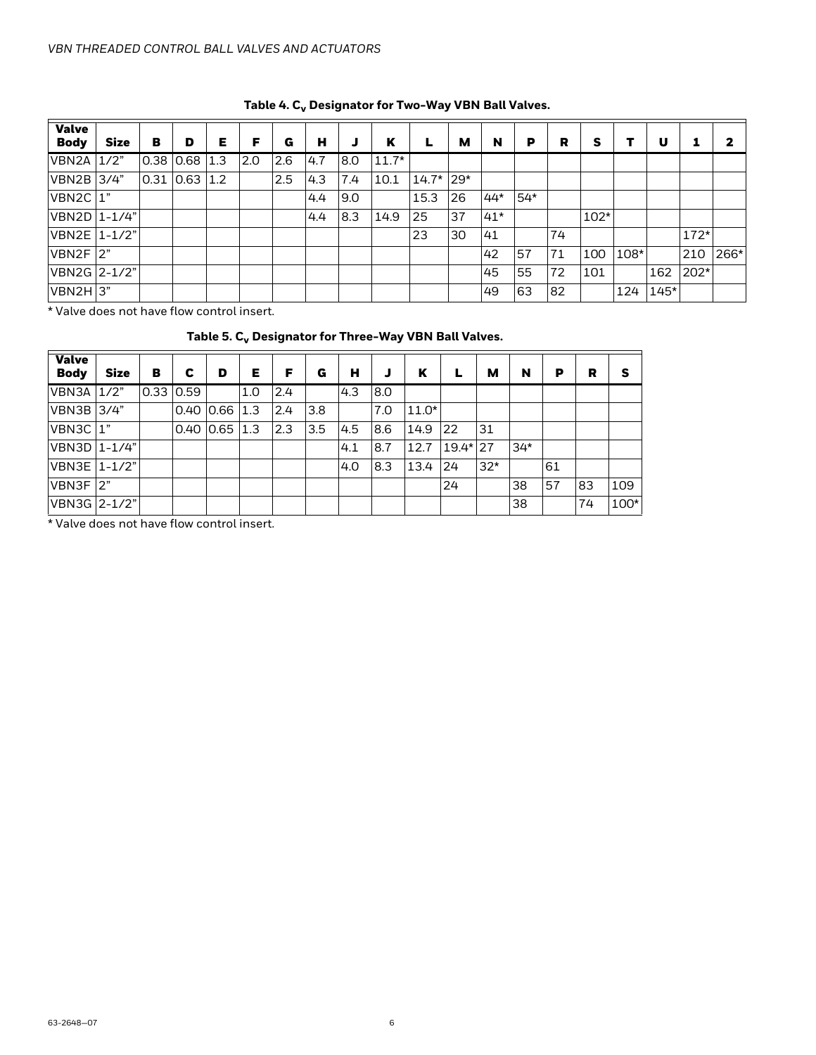<span id="page-5-0"></span>

| <b>Valve</b><br><b>Body</b> | <b>Size</b> | в | D                   | Е | F          | G   | н   |     | K       |         | м     | N     | P     | R  | s      | т    | U      |        |      |
|-----------------------------|-------------|---|---------------------|---|------------|-----|-----|-----|---------|---------|-------|-------|-------|----|--------|------|--------|--------|------|
| VBN2A 1/2"                  |             |   | $0.38$ $0.68$ 1.3   |   | <b>2.0</b> | 2.6 | 4.7 | 8.0 | $11.7*$ |         |       |       |       |    |        |      |        |        |      |
| VBN2B 3/4"                  |             |   | $0.31$ $0.63$ $1.2$ |   |            | 2.5 | 4.3 | 7.4 | 10.1    | $14.7*$ | $29*$ |       |       |    |        |      |        |        |      |
| $VBN2C$ <sup>1</sup>        |             |   |                     |   |            |     | 4.4 | 9.0 |         | 15.3    | 26    | $44*$ | $54*$ |    |        |      |        |        |      |
| VBN2D 1-1/4"                |             |   |                     |   |            |     | 4.4 | 8.3 | 14.9    | 25      | 37    | $41*$ |       |    | $102*$ |      |        |        |      |
| VBN2E 1-1/2"                |             |   |                     |   |            |     |     |     |         | 23      | 30    | 41    |       | 74 |        |      |        | $172*$ |      |
| $VBN2F$ 2"                  |             |   |                     |   |            |     |     |     |         |         |       | 42    | 57    | 71 | 100    | 108* |        | 210    | 266* |
| VBN2G 2-1/2"                |             |   |                     |   |            |     |     |     |         |         |       | 45    | 55    | 72 | 101    |      | 162    | $202*$ |      |
| $VBN2H$ 3"                  |             |   |                     |   |            |     |     |     |         |         |       | 49    | 63    | 82 |        | 124  | $145*$ |        |      |

### Table 4. C<sub>v</sub> Designator for Two-Way VBN Ball Valves.

<span id="page-5-1"></span>\* Valve does not have flow control insert.

### Table 5. C<sub>v</sub> Designator for Three-Way VBN Ball Valves.

| <b>Valve</b><br><b>Body</b> | <b>Size</b> | в           | c | D           | Е   | F   | G   | н   |            | ĸ       | L          | м     | N     | P  | R  | S    |
|-----------------------------|-------------|-------------|---|-------------|-----|-----|-----|-----|------------|---------|------------|-------|-------|----|----|------|
| VBN3A                       | 1/2"        | $0.33$ 0.59 |   |             | 1.0 | 2.4 |     | 4.3 | 18.0       |         |            |       |       |    |    |      |
| VBN3B 3/4"                  |             |             |   | $0.40$ 0.66 | 1.3 | 2.4 | 3.8 |     | 7.0        | $11.0*$ |            |       |       |    |    |      |
| VBN3C 1"                    |             |             |   | $0.40$ 0.65 | 1.3 | 2.3 | 3.5 | 4.5 | <b>8.6</b> | 14.9    | 22         | 31    |       |    |    |      |
| VBN3D   1-1/4"              |             |             |   |             |     |     |     | 4.1 | 8.7        | 12.7    | $19.4*127$ |       | $34*$ |    |    |      |
| VBN3E   1-1/2"              |             |             |   |             |     |     |     | 4.0 | 8.3        | 13.4    | 24         | $32*$ |       | 61 |    |      |
| IVBN3F  2"                  |             |             |   |             |     |     |     |     |            |         | 24         |       | 38    | 57 | 83 | 109  |
| VBN3G 2-1/2"                |             |             |   |             |     |     |     |     |            |         |            |       | 38    |    | 74 | 100* |

\* Valve does not have flow control insert.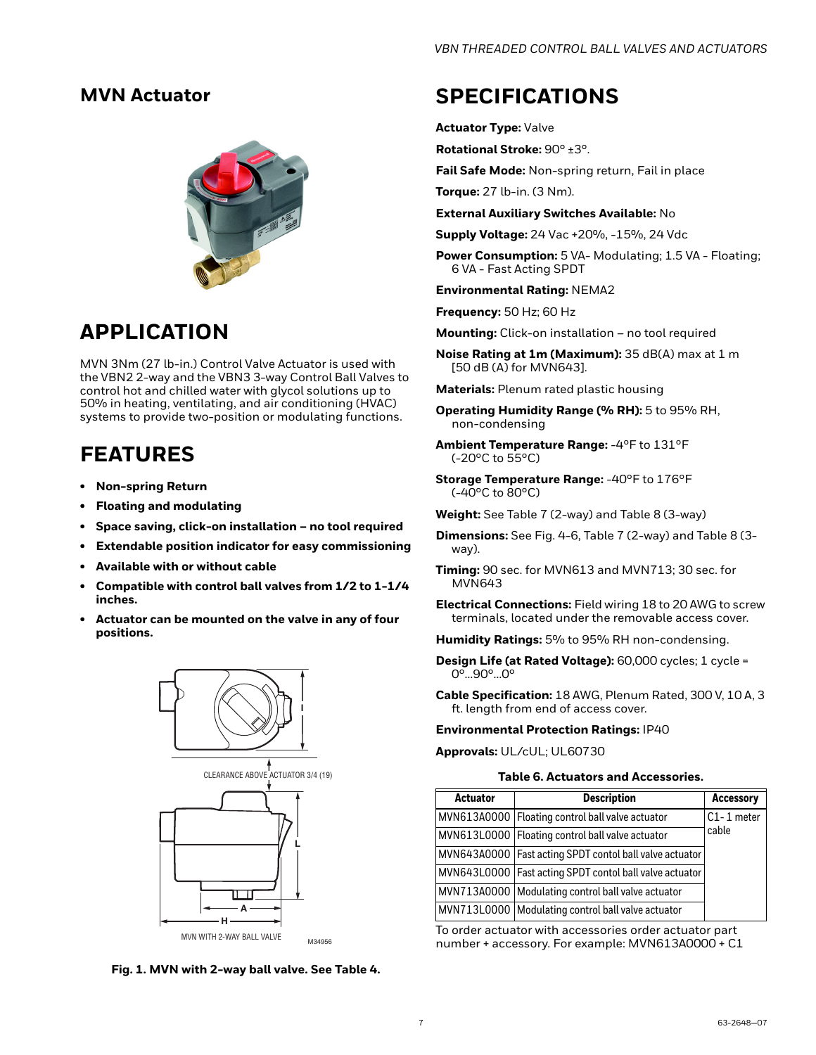### <span id="page-6-0"></span>**MVN Actuator**



### **APPLICATION**

MVN 3Nm (27 lb-in.) Control Valve Actuator is used with the VBN2 2-way and the VBN3 3-way Control Ball Valves to control hot and chilled water with glycol solutions up to 50% in heating, ventilating, and air conditioning (HVAC) systems to provide two-position or modulating functions.

## **FEATURES**

- **Non-spring Return**
- **Floating and modulating**
- **Space saving, click-on installation no tool required**
- **Extendable position indicator for easy commissioning**
- **Available with or without cable**
- **Compatible with control ball valves from 1/2 to 1-1/4 inches.**
- **Actuator can be mounted on the valve in any of four positions.**



**Fig. 1. MVN with 2-way ball valve. See [Table 4](#page-5-0).**

### **SPECIFICATIONS**

**Actuator Type:** Valve

**Rotational Stroke:** 90° ±3°.

**Fail Safe Mode:** Non-spring return, Fail in place

**Torque:** 27 lb-in. (3 Nm).

**External Auxiliary Switches Available:** No

**Supply Voltage:** 24 Vac +20%, -15%, 24 Vdc

Power Consumption: 5 VA- Modulating; 1.5 VA - Floating; 6 VA - Fast Acting SPDT

**Environmental Rating:** NEMA2

**Frequency:** 50 Hz; 60 Hz

**Mounting:** Click-on installation – no tool required

**Noise Rating at 1m (Maximum):** 35 dB(A) max at 1 m [50 dB (A) for MVN643].

**Materials:** Plenum rated plastic housing

- **Operating Humidity Range (% RH):** 5 to 95% RH, non-condensing
- **Ambient Temperature Range:** -4°F to 131°F (-20°C to 55°C)
- **Storage Temperature Range:** -40°F to 176°F (-40°C to 80°C)
- **Weight:** See Table 7 (2-way) and Table 8 (3-way)
- **Dimensions:** See Fig. 4-6, Table 7 (2-way) and Table 8 (3 way).
- **Timing:** 90 sec. for MVN613 and MVN713; 30 sec. for MVN643

**Electrical Connections:** Field wiring 18 to 20 AWG to screw terminals, located under the removable access cover.

**Humidity Ratings:** 5% to 95% RH non-condensing.

**Design Life (at Rated Voltage):** 60,000 cycles; 1 cycle = 0°…90°…0°

**Cable Specification:** 18 AWG, Plenum Rated, 300 V, 10 A, 3 ft. length from end of access cover.

#### **Environmental Protection Ratings:** IP40

**Approvals:** UL/cUL; UL60730

#### **Table 6. Actuators and Accessories.**

| <b>Actuator</b> | <b>Description</b>                                        | <b>Accessory</b> |
|-----------------|-----------------------------------------------------------|------------------|
|                 | MVN613A0000   Floating control ball valve actuator        | $C1 - 1$ meter   |
|                 | MVN613L0000   Floating control ball valve actuator        | cable            |
|                 | MVN643A0000   Fast acting SPDT contol ball valve actuator |                  |
|                 | MVN643L0000   Fast acting SPDT contol ball valve actuator |                  |
|                 | MVN713A0000   Modulating control ball valve actuator      |                  |
|                 | MVN713L0000   Modulating control ball valve actuator      |                  |

To order actuator with accessories order actuator part number + accessory. For example: MVN613A0000 + C1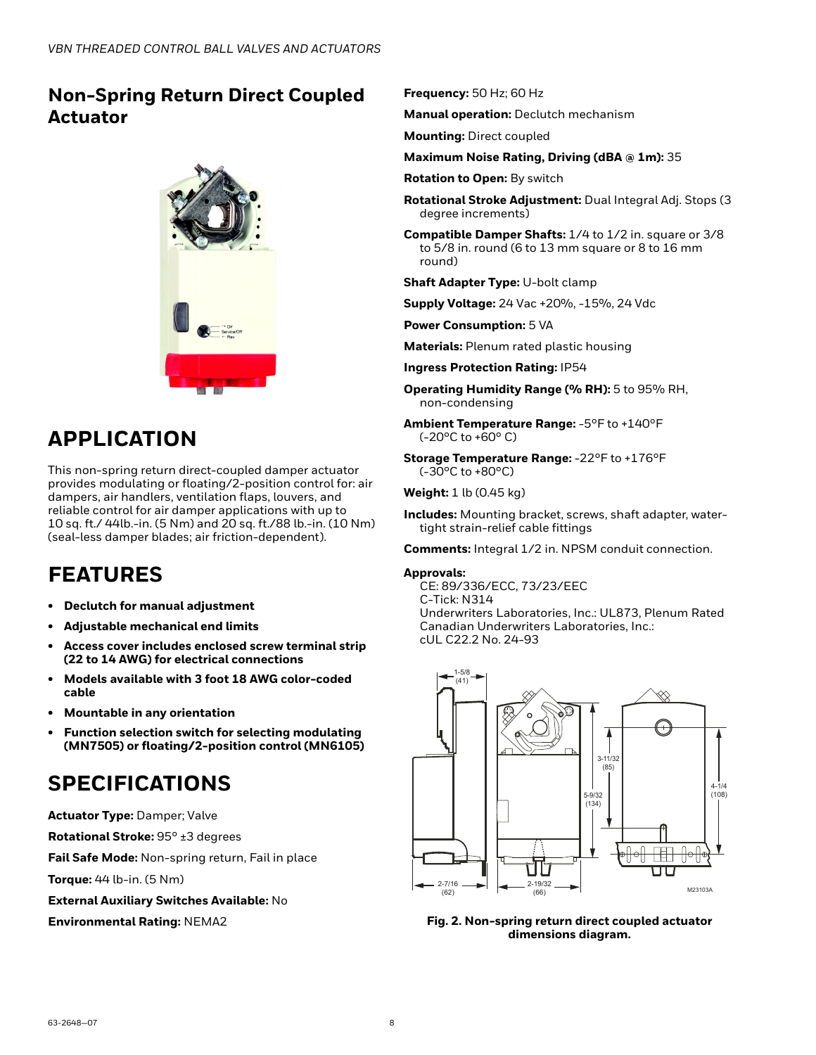### <span id="page-7-0"></span>**Non-Spring Return Direct Coupled Actuator**



## **APPLICATION**

This non-spring return direct-coupled damper actuator provides modulating or floating/2-position control for: air dampers, air handlers, ventilation flaps, louvers, and reliable control for air damper applications with up to 10 sq. ft./ 44lb.-in. (5 Nm) and 20 sq. ft./88 lb.-in. (10 Nm) (seal-less damper blades; air friction-dependent).

## **FEATURES**

- **Declutch for manual adjustment**
- **Adjustable mechanical end limits**
- **Access cover includes enclosed screw terminal strip (22 to 14 AWG) for electrical connections**
- **Models available with 3 foot 18 AWG color-coded cable**
- **Mountable in any orientation**
- **Function selection switch for selecting modulating (MN7505) or floating/2-position control (MN6105)**

## **SPECIFICATIONS**

**Actuator Type:** Damper; Valve

**Rotational Stroke:** 95° ±3 degrees

**Fail Safe Mode:** Non-spring return, Fail in place

**Torque:** 44 lb-in. (5 Nm)

**External Auxiliary Switches Available:** No

**Environmental Rating:** NEMA2

### **Frequency:** 50 Hz; 60 Hz

**Manual operation:** Declutch mechanism

**Mounting:** Direct coupled

#### **Maximum Noise Rating, Driving (dBA @ 1m):** 35

**Rotation to Open:** By switch

**Rotational Stroke Adjustment:** Dual Integral Adj. Stops (3 degree increments)

**Compatible Damper Shafts:** 1/4 to 1/2 in. square or 3/8 to 5/8 in. round (6 to 13 mm square or 8 to 16 mm round)

**Shaft Adapter Type:** U-bolt clamp

**Supply Voltage:** 24 Vac +20%, -15%, 24 Vdc

**Power Consumption:** 5 VA

**Materials:** Plenum rated plastic housing

**Ingress Protection Rating:** IP54

**Operating Humidity Range (% RH):** 5 to 95% RH, non-condensing

**Ambient Temperature Range:** -5°F to +140°F (-20°C to +60° C)

**Storage Temperature Range:** -22°F to +176°F  $(-30^{\circ}$ C to  $+80^{\circ}$ C)

**Weight:** 1 lb (0.45 kg)

**Includes:** Mounting bracket, screws, shaft adapter, watertight strain-relief cable fittings

**Comments:** Integral 1/2 in. NPSM conduit connection.

#### **Approvals:**

CE: 89/336/ECC, 73/23/EEC C-Tick: N314 Underwriters Laboratories, Inc.: UL873, Plenum Rated Canadian Underwriters Laboratories, Inc.: cUL C22.2 No. 24-93



**Fig. 2. Non-spring return direct coupled actuator dimensions diagram.**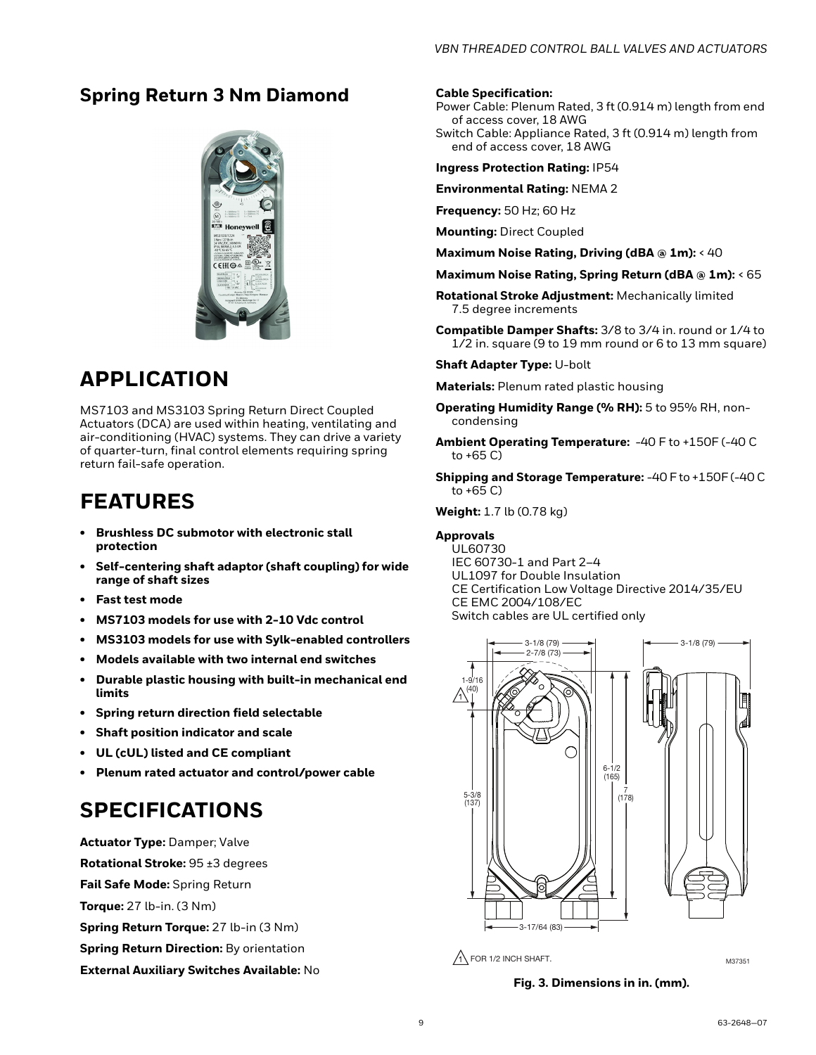### <span id="page-8-0"></span>**Spring Return 3 Nm Diamond**



### **APPLICATION**

MS7103 and MS3103 Spring Return Direct Coupled Actuators (DCA) are used within heating, ventilating and air-conditioning (HVAC) systems. They can drive a variety of quarter-turn, final control elements requiring spring return fail-safe operation.

## **FEATURES**

- **Brushless DC submotor with electronic stall protection**
- **Self-centering shaft adaptor (shaft coupling) for wide range of shaft sizes**
- **Fast test mode**
- **MS7103 models for use with 2-10 Vdc control**
- **MS3103 models for use with Sylk-enabled controllers**
- **Models available with two internal end switches**
- **Durable plastic housing with built-in mechanical end limits**
- **Spring return direction field selectable**
- **Shaft position indicator and scale**
- **UL (cUL) listed and CE compliant**
- **Plenum rated actuator and control/power cable**

### **SPECIFICATIONS**

**Actuator Type:** Damper; Valve **Rotational Stroke:** 95 ±3 degrees **Fail Safe Mode:** Spring Return **Torque:** 27 lb-in. (3 Nm) **Spring Return Torque:** 27 lb-in (3 Nm) **Spring Return Direction:** By orientation **External Auxiliary Switches Available:** No

#### **Cable Specification:**

- Power Cable: Plenum Rated, 3 ft (0.914 m) length from end of access cover, 18 AWG
- Switch Cable: Appliance Rated, 3 ft (0.914 m) length from end of access cover, 18 AWG

**Ingress Protection Rating:** IP54

**Environmental Rating:** NEMA 2

**Frequency:** 50 Hz; 60 Hz

**Mounting:** Direct Coupled

**Maximum Noise Rating, Driving (dBA @ 1m):** < 40

- **Maximum Noise Rating, Spring Return (dBA @ 1m):** < 65
- **Rotational Stroke Adjustment:** Mechanically limited 7.5 degree increments
- **Compatible Damper Shafts:** 3/8 to 3/4 in. round or 1/4 to 1/2 in. square (9 to 19 mm round or 6 to 13 mm square)

**Shaft Adapter Type:** U-bolt

**Materials:** Plenum rated plastic housing

- **Operating Humidity Range (% RH):** 5 to 95% RH, noncondensing
- **Ambient Operating Temperature:** -40 F to +150F (-40 C to +65 C)

**Shipping and Storage Temperature:** -40 F to +150F (-40 C to +65 C)

**Weight:** 1.7 lb (0.78 kg)

#### **Approvals**

UL60730 IEC 60730-1 and Part 2–4 UL1097 for Double Insulation CE Certification Low Voltage Directive 2014/35/EU CE EMC 2004/108/EC Switch cables are UL certified only



 $\bigwedge$  FOR 1/2 INCH SHAFT.

M37351

**Fig. 3. Dimensions in in. (mm).**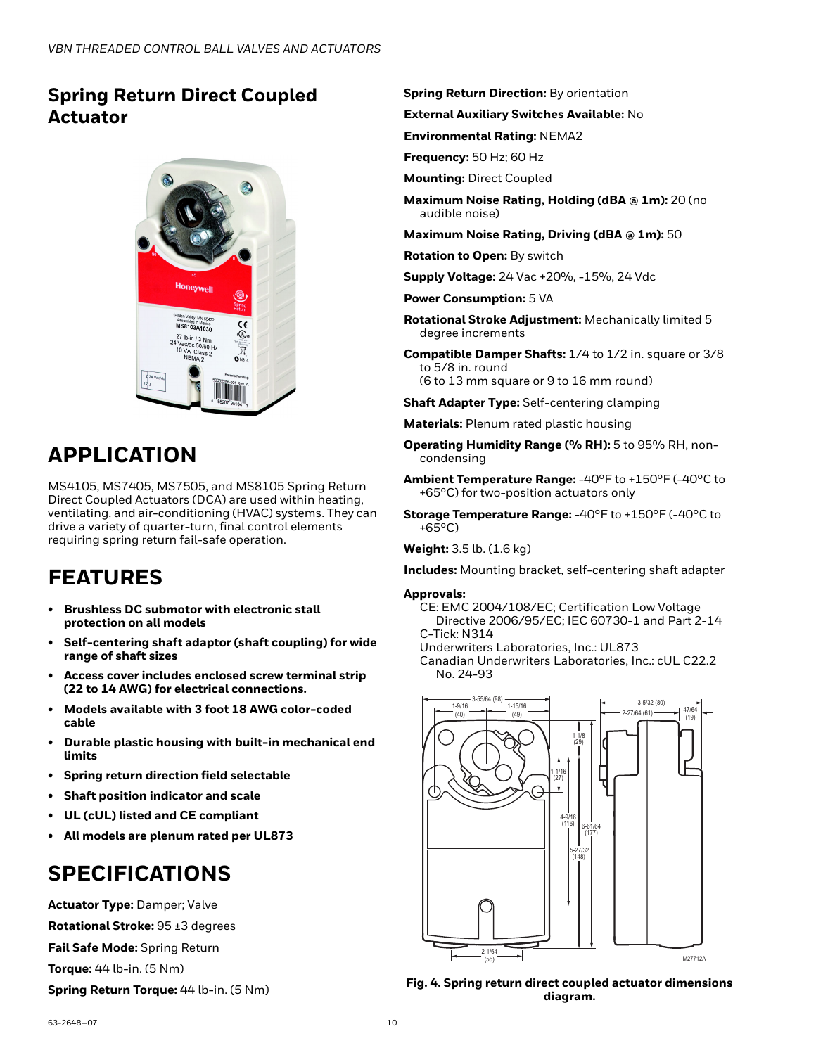### <span id="page-9-0"></span>**Spring Return Direct Coupled Actuator**



## **APPLICATION**

MS4105, MS7405, MS7505, and MS8105 Spring Return Direct Coupled Actuators (DCA) are used within heating, ventilating, and air-conditioning (HVAC) systems. They can drive a variety of quarter-turn, final control elements requiring spring return fail-safe operation.

## **FEATURES**

- **Brushless DC submotor with electronic stall protection on all models**
- **Self-centering shaft adaptor (shaft coupling) for wide range of shaft sizes**
- **Access cover includes enclosed screw terminal strip (22 to 14 AWG) for electrical connections.**
- **Models available with 3 foot 18 AWG color-coded cable**
- **Durable plastic housing with built-in mechanical end limits**
- **Spring return direction field selectable**
- **Shaft position indicator and scale**
- **UL (cUL) listed and CE compliant**
- **All models are plenum rated per UL873**

## **SPECIFICATIONS**

**Actuator Type:** Damper; Valve **Rotational Stroke:** 95 ±3 degrees **Fail Safe Mode:** Spring Return **Torque:** 44 lb-in. (5 Nm)

**Spring Return Torque:** 44 lb-in. (5 Nm)

**Spring Return Direction:** By orientation

**External Auxiliary Switches Available:** No

**Environmental Rating:** NEMA2

**Frequency:** 50 Hz; 60 Hz

**Mounting:** Direct Coupled

**Maximum Noise Rating, Holding (dBA @ 1m):** 20 (no audible noise)

**Maximum Noise Rating, Driving (dBA @ 1m):** 50

**Rotation to Open:** By switch

**Supply Voltage:** 24 Vac +20%, -15%, 24 Vdc

**Power Consumption:** 5 VA

- **Rotational Stroke Adjustment:** Mechanically limited 5 degree increments
- **Compatible Damper Shafts:** 1/4 to 1/2 in. square or 3/8 to 5/8 in. round (6 to 13 mm square or 9 to 16 mm round)
- **Shaft Adapter Type:** Self-centering clamping

**Materials:** Plenum rated plastic housing

- **Operating Humidity Range (% RH):** 5 to 95% RH, noncondensing
- **Ambient Temperature Range:** -40°F to +150°F (-40°C to +65°C) for two-position actuators only
- **Storage Temperature Range:** -40°F to +150°F (-40°C to +65°C)

**Weight:** 3.5 lb. (1.6 kg)

**Includes:** Mounting bracket, self-centering shaft adapter

#### **Approvals:**

CE: EMC 2004/108/EC; Certification Low Voltage Directive 2006/95/EC; IEC 60730-1 and Part 2-14 C-Tick: N314

Underwriters Laboratories, Inc.: UL873

Canadian Underwriters Laboratories, Inc.: cUL C22.2 No. 24-93



**Fig. 4. Spring return direct coupled actuator dimensions diagram.**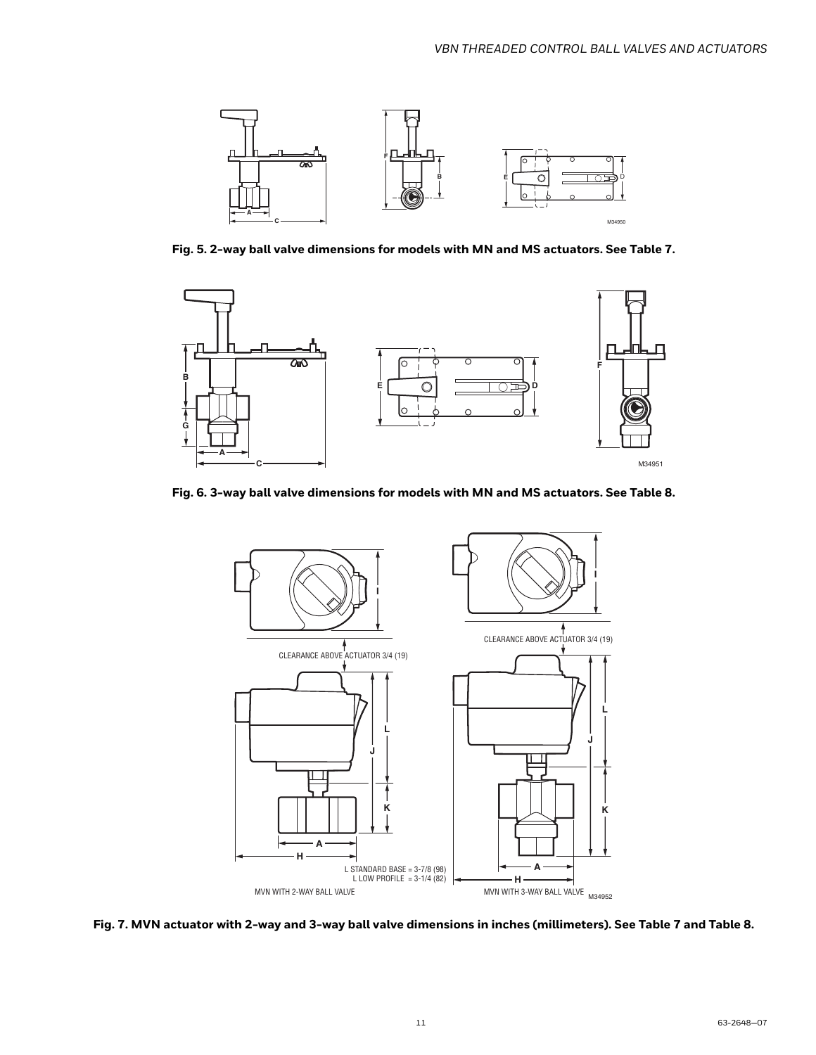

**Fig. 5. 2-way ball valve dimensions for models with MN and MS actuators. See Table 7.**



**Fig. 6. 3-way ball valve dimensions for models with MN and MS actuators. See Table 8.**



**Fig. 7. MVN actuator with 2-way and 3-way ball valve dimensions in inches (millimeters). See Table 7 and Table 8.**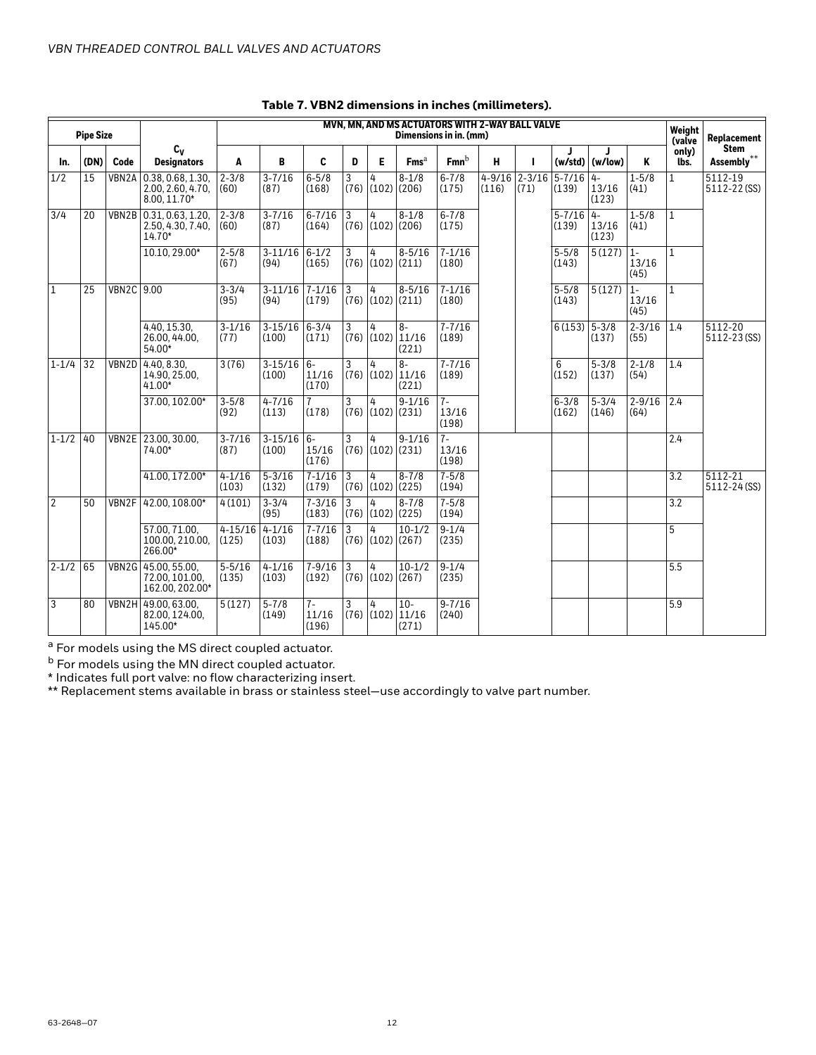|                  | <b>Pipe Size</b> |                   |                                                              | MVN. MN. AND MS ACTUATORS WITH 2-WAY BALL VALVE<br>Dimensions in in. (mm) |                      |                                  |                        |                             |                                                 |                        |       | Weight<br>(valve        | <b>Replacement</b>     |                        |                        |                  |                             |
|------------------|------------------|-------------------|--------------------------------------------------------------|---------------------------------------------------------------------------|----------------------|----------------------------------|------------------------|-----------------------------|-------------------------------------------------|------------------------|-------|-------------------------|------------------------|------------------------|------------------------|------------------|-----------------------------|
| In.              | (DN)             | Code              | $c_v$<br><b>Designators</b>                                  | A                                                                         | B                    | C                                | D                      | E                           | Fms <sup>a</sup>                                | $Fmn^b$                | н     | ı                       |                        | $(w/std)$ (w/low)      | Κ                      | only)<br>lbs.    | <b>Stem</b><br>Assembly**   |
| 1/2              | 15               |                   | VBN2A 0.38, 0.68, 1.30.<br>2.00, 2.60, 4.70,<br>8.00, 11.70* | $2 - 3/8$<br>(60)                                                         | $3 - 7/16$<br>(87)   | $6 - 5/8$<br>(168)               | 3<br>(76)              | 4<br>$(102)$ $(206)$        | $8 - 1/8$                                       | $6 - 7/8$<br>(175)     | (116) | $4-9/16$ 2-3/16<br>(71) | $5 - 7/16$<br>(139)    | $4-$<br>13/16<br>(123) | $1 - 5/8$<br>(41)      | $\mathbf{1}$     | 5112-19<br>5112-22 (SS)     |
| $\overline{3/4}$ | 20               | VBN2B             | 0.31, 0.63, 1.20,<br>2.50, 4.30, 7.40,<br>14.70*             | $2 - 3/8$<br>(60)                                                         | $3 - 7/16$<br>(87)   | $6 - 7/16$<br>(164)              | $\overline{3}$<br>(76) | 4                           | $8 - 1/8$<br>$(102)$ $(206)$                    | $6 - 7/8$<br>(175)     |       |                         | $5 - 7/16$ 4-<br>(139) | 13/16<br>(123)         | $1 - 5/8$<br>(41)      | $\mathbf{1}$     |                             |
|                  |                  |                   | 10.10, 29.00*                                                | $2 - 5/8$<br>(67)                                                         | $3 - 11/16$<br>(94)  | $6 - 1/2$<br>(165)               | 3<br>(76)              | 4                           | $8 - 5/16$<br>$(102)$ $(211)$                   | $7 - 1/16$<br>(180)    |       |                         | $5 - 5/8$<br>(143)     | 5(127)                 | $1 -$<br>13/16<br>(45) | $\mathbf{1}$     |                             |
| $\overline{1}$   | 25               | <b>VBN2C 9.00</b> |                                                              | $3 - 3/4$<br>(95)                                                         | $3 - 11/16$<br>(94)  | $7 - 1/16$<br>(179)              | $\overline{3}$<br>(76) | 4                           | $8 - 5/16$<br>$(102)$ $(211)$                   | $7 - 1/16$<br>(180)    |       |                         | $5 - 5/8$<br>(143)     | $5(127)$ 1-            | 13/16<br>(45)          | $\mathbf{1}$     |                             |
|                  |                  |                   | 4.40.15.30.<br>26.00.44.00.<br>$54.00*$                      | $3 - 1/16$<br>(77)                                                        | $3 - 15/16$<br>(100) | $6 - 3/4$<br>(171)               | 3<br>(76)              | 4                           | $8-$<br>$(102)$ 11/16<br>(221)                  | $7 - 7/16$<br>(189)    |       |                         | $6(153)$ 5-3/8         | (137)                  | $2 - 3/16$<br>(55)     | 1.4              | 5112-20<br>5112-23 (SS)     |
| $1 - 1/4$        | $\overline{32}$  |                   | VBN2D 4.40, 8.30,<br>14.90, 25.00,<br>$41.00*$               | 3(76)                                                                     | $3 - 15/16$<br>(100) | $6-$<br>11/16<br>(170)           | 3                      | 4                           | $\overline{8}$<br>$(76)$ $(102)$ 11/16<br>(221) | $7 - 7/16$<br>(189)    |       |                         | 6<br>(152)             | $5 - 3/8$<br>(137)     | $2 - 1/8$<br>(54)      | 1.4              |                             |
|                  |                  |                   | 37.00, 102.00*                                               | $3 - 5/8$<br>(92)                                                         | $4 - 7/16$<br>(113)  | (178)                            | 3<br>(76)              | 4                           | $9 - 1/16$<br>$(102)$ $(231)$                   | $7-$<br>13/16<br>(198) |       |                         | $6 - 3/8$<br>(162)     | $5 - 3/4$<br>(146)     | $2 - 9/16$<br>(64)     | 2.4              |                             |
| $1 - 1/2$        | 40               |                   | VBN2E 23.00, 30.00,<br>74.00*                                | $3 - 7/16$<br>(87)                                                        | $3 - 15/16$<br>(100) | $\overline{6}$<br>15/16<br>(176) | 3<br>(76)              | 4                           | $9 - 1/16$<br>$(102)$ $(231)$                   | $7-$<br>13/16<br>(198) |       |                         |                        |                        |                        | 2.4              |                             |
|                  |                  |                   | 41.00, 172.00*                                               | $4 - 1/16$<br>(103)                                                       | $5 - 3/16$<br>(132)  | $7 - 1/16$<br>(179)              | $\overline{3}$<br>(76) | 4<br>$(102)$ $(225)$        | $8 - 7/8$                                       | $7 - 5/8$<br>(194)     |       |                         |                        |                        |                        | $\overline{3.2}$ | $5112 - 21$<br>5112-24 (SS) |
| $\overline{2}$   | 50               |                   | VBN2F 42.00, 108.00*                                         | 4(101)                                                                    | $3 - 3/4$<br>(95)    | $7 - 3/16$<br>(183)              | $\overline{3}$         | 4<br>$(76)$ $(102)$ $(225)$ | $8 - 7/8$                                       | $7 - 5/8$<br>(194)     |       |                         |                        |                        |                        | 3.2              |                             |
|                  |                  |                   | 57.00, 71.00,<br>100.00, 210.00,<br>266.00*                  | $4 - 15/16$<br>(125)                                                      | $4 - 1/16$<br>(103)  | $7 - 7/16$<br>(188)              | 3                      | 4<br>$(76)$ $(102)$ $(267)$ | $10-1/2$                                        | $9 - 1/4$<br>(235)     |       |                         |                        |                        |                        | 5                |                             |
| $2 - 1/2$        | 65               |                   | VBN2G 45.00, 55.00,<br>72.00, 101.00,<br>162.00, 202.00*     | $5 - 5/16$<br>(135)                                                       | $4 - 1/16$<br>(103)  | $7 - 9/16$<br>(192)              | 3<br>(76)              | 4                           | $10 - 1/2$<br>$(102)$ $(267)$                   | $9 - 1/4$<br>(235)     |       |                         |                        |                        |                        | $\overline{5.5}$ |                             |
| 3                | 80               |                   | VBN2H 49.00, 63.00,<br>82.00.124.00.<br>145.00*              | 5(127)                                                                    | $5 - 7/8$<br>(149)   | $7-$<br>11/16<br>(196)           | 3                      | 4                           | $10-$<br>$(76)$ $(102)$ 11/16<br>(271)          | $9 - 7/16$<br>(240)    |       |                         |                        |                        |                        | 5.9              |                             |

### **Table 7. VBN2 dimensions in inches (millimeters).**

 $a$  For models using the MS direct coupled actuator.

<sup>b</sup> For models using the MN direct coupled actuator.

\* Indicates full port valve: no flow characterizing insert.

\*\* Replacement stems available in brass or stainless steel—use accordingly to valve part number.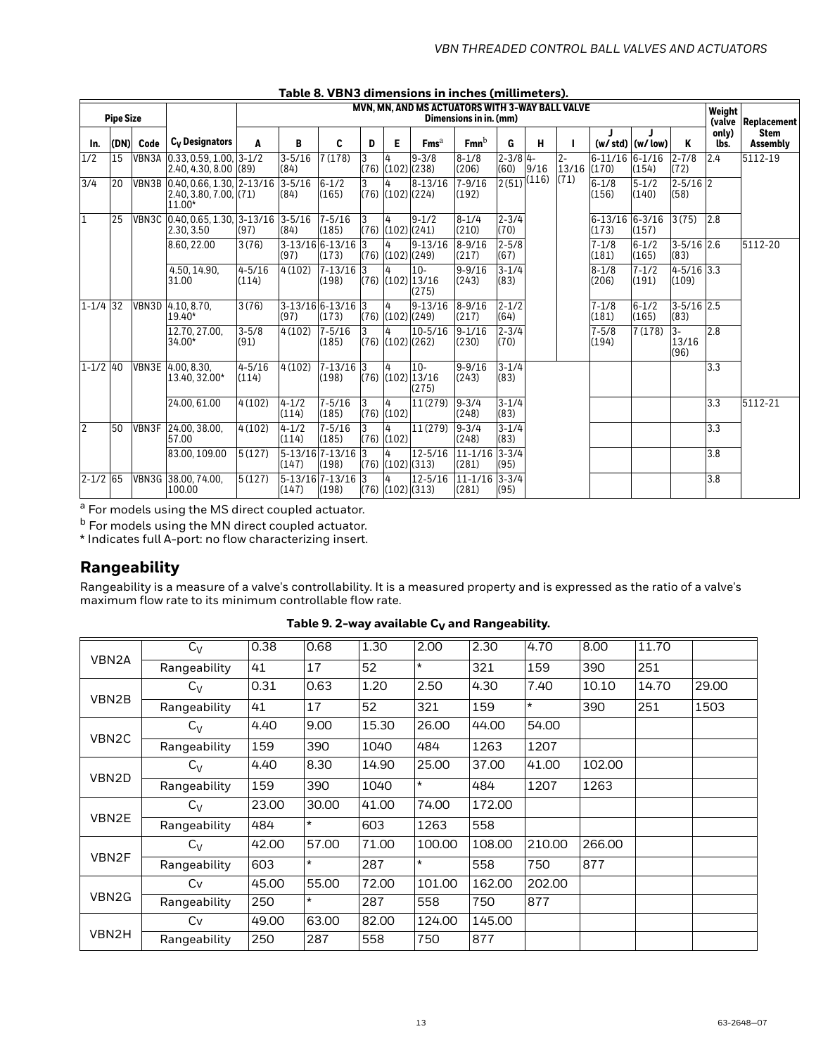|                | rapie o. v Drio umnensions in inches (militimeters). |       |                                                                     |                     |                          |                            |            |                             |                                                 |                                |                      |       |                      |                             |                           |                         |                  |                                |
|----------------|------------------------------------------------------|-------|---------------------------------------------------------------------|---------------------|--------------------------|----------------------------|------------|-----------------------------|-------------------------------------------------|--------------------------------|----------------------|-------|----------------------|-----------------------------|---------------------------|-------------------------|------------------|--------------------------------|
|                | <b>Pipe Size</b>                                     |       |                                                                     |                     |                          |                            |            |                             | MVN, MN, AND MS ACTUATORS WITH 3-WAY BALL VALVE | Dimensions in in. (mm)         |                      |       |                      |                             |                           |                         | Weight<br>(valve | Replacement                    |
| In.            | (DN)                                                 | Code  | $C_V$ Designators                                                   | A                   | В                        | C                          | D          | E                           | Fms <sup>a</sup>                                | $Fmn^b$                        | G                    | н     |                      |                             | $(w / std)$ $(w / low)$   | ĸ                       | only)<br>lbs.    | <b>Stem</b><br><b>Assembly</b> |
| 1/2            | 15                                                   |       | VBN3A 0.33, 0.59, 1.00, 3-1/2<br>$2.40, 4.30, 8.00$ (89)            |                     | $3 - 5/16$<br>(84)       | 7(178)                     | 3<br>(76)  | 4<br>$(102)$ $(238)$        | $9 - 3/8$                                       | $8 - 1/8$<br>(206)             | $2 - 3/8$ 4-<br>(60) | 9/16  | $2 -$<br>13/16 (170) | 6-11/16 6-1/16              | (154)                     | $2 - 7/8$<br>(72)       | 2.4              | 5112-19                        |
| 3/4            | 20                                                   |       | VBN3B 0.40, 0.66, 1.30, 2-13/16<br>2.40, 3.80, 7.00, (71)<br>11.00* |                     | $3 - 5/16$<br>(84)       | $6 - 1/2$<br>(165)         | 3<br>(76)  | 4<br>(102)(224)             | $8 - 13/16$                                     | $7 - 9/16$<br>(192)            | 2(51)                | (116) | (71)                 | $6 - 1/8$<br>(156)          | $\sqrt{5} - 1/2$<br>(140) | $2 - 5/16$ 2<br>(58)    |                  |                                |
| $\overline{1}$ | 25                                                   |       | VBN3C 0.40.0.65.1.30. 3-13/16 3-5/16<br>2.30, 3.50                  | (97)                | (84)                     | $7 - 5/16$<br>(185)        | 3<br>(76)  | 4<br>$(102)$ $(241)$        | $9 - 1/2$                                       | $8 - 1/4$<br>(210)             | $2 - 3/4$<br>(70)    |       |                      | $6-13/16$ $6-3/16$<br>(173) | (157)                     | 3(75)                   | 2.8              |                                |
|                |                                                      |       | 8.60, 22.00                                                         | 3(76)               | 3-13/16 6-13/16<br>(97)  | (173)                      | T3<br>(76) | 4<br>$(102)$ $(249)$        | $9 - 13/16$                                     | $\sqrt{8-9/16}$<br>(217)       | $2 - 5/8$<br>(67)    |       |                      | $7 - 1/8$<br>(181)          | $\sqrt{6-1/2}$<br>(165)   | $3 - 5/16$ 2.6<br>(83)  |                  | 5112-20                        |
|                |                                                      |       | 4.50, 14.90,<br>31.00                                               | $4 - 5/16$<br>(114) | 4 (102)                  | $7 - 13/16$<br>(198)       | 3<br>(76)  | 4                           | $10 -$<br>$(102)$ 13/16<br>(275)                | $9 - 9/16$<br>(243)            | $3 - 1/4$<br>(83)    |       |                      | $8 - 1/8$<br>(206)          | $7 - 1/2$<br>(191)        | $4 - 5/16$ 3.3<br>(109) |                  |                                |
| $1 - 1/4$ 32   |                                                      | VBN3D | 4.10, 8.70,<br>19.40*                                               | 3(76)               | (97)                     | 3-13/16 6-13/16 3<br>(173) | (76)       | 4<br>$(102)$ $(249)$        | $9 - 13/16$                                     | $8 - 9/16$<br>(217)            | $2 - 1/2$<br>(64)    |       |                      | $7 - 1/8$<br>(181)          | $6 - 1/2$<br>(165)        | $3 - 5/16$ 2.5<br>(83)  |                  |                                |
|                |                                                      |       | 12.70, 27.00,<br>34.00*                                             | $3 - 5/8$<br>(91)   | 4(102)                   | $7 - 5/16$<br>(185)        | (76)       | 4<br>$(102)$ $(262)$        | $10 - 5/16$                                     | $\sqrt{9}-1/16$<br>(230)       | $2 - 3/4$<br>(70)    |       |                      | $7 - 5/8$<br>(194)          | 7(178)                    | $3-$<br>13/16<br>(96)   | 2.8              |                                |
| $1 - 1/2$ 40   |                                                      |       | VBN3E 4.00, 8.30.<br>13.40, 32.00*                                  | $4 - 5/16$<br>(114) | 4(102)                   | $7 - 13/16$ 3<br>(198)     | (76)       | 4                           | $10 -$<br>$(102)$ 13/16<br>(275)                | $9 - 9/16$<br>(243)            | $3 - 1/4$<br>(83)    |       |                      |                             |                           |                         | 3.3              |                                |
|                |                                                      |       | 24.00, 61.00                                                        | 4(102)              | $4 - 1/2$<br>(114)       | $7 - 5/16$<br>(185)        | 3<br>(76)  | 4<br>(102)                  | 11 (279)                                        | $9 - 3/4$<br>(248)             | $3 - 1/4$<br>(83)    |       |                      |                             |                           |                         | 3.3              | 5112-21                        |
| $\overline{2}$ | 50                                                   |       | VBN3F 24.00, 38.00,<br>57.00                                        | 4(102)              | $4 - 1/2$<br>(114)       | $7 - 5/16$<br>(185)        | 3<br>(76)  | 4<br>(102)                  | 11(279)                                         | $9 - 3/4$<br>(248)             | $3 - 1/4$<br>(83)    |       |                      |                             |                           |                         | 3.3              |                                |
|                |                                                      |       | 83.00.109.00                                                        | 5(127)              | 5-13/16 7-13/16<br>(147) | (198)                      | 3<br>(76)  | 4<br>$(102)$ $(313)$        |                                                 | 12-5/16 11-1/16 3-3/4<br>(281) | (95)                 |       |                      |                             |                           |                         | 3.8              |                                |
| $2 - 1/2$ 65   |                                                      |       | VBN3G 38.00, 74.00,<br>100.00                                       | 5(127)              | 5-13/16 7-13/16<br>(147) | (198)                      | 3          | 4<br>$(76)$ $(102)$ $(313)$ | 12-5/16                                         | $11 - 1/16$ 3-3/4<br>(281)     | (95)                 |       |                      |                             |                           |                         | 3.8              |                                |

### **Table 8. VBN3 dimensions in inches (millimeters).**

a For models using the MS direct coupled actuator.

<sup>b</sup> For models using the MN direct coupled actuator.

\* Indicates full A-port: no flow characterizing insert.

### **Rangeability**

Rangeability is a measure of a valve's controllability. It is a measured property and is expressed as the ratio of a valve's maximum flow rate to its minimum controllable flow rate.

|                   | $C_V$        | 0.38  | 0.68    | 1.30  | 2.00    | 2.30   | 4.70    | 8.00   | 11.70 |       |
|-------------------|--------------|-------|---------|-------|---------|--------|---------|--------|-------|-------|
| VBN2A             | Rangeability | 41    | 17      | 52    | $\star$ | 321    | 159     | 390    | 251   |       |
|                   | $C_V$        | 0.31  | 0.63    | 1.20  | 2.50    | 4.30   | 7.40    | 10.10  | 14.70 | 29.00 |
| VBN2B             | Rangeability | 41    | 17      | 52    | 321     | 159    | $\star$ | 390    | 251   | 1503  |
|                   | $C_V$        | 4.40  | 9.00    | 15.30 | 26.00   | 44.00  | 54.00   |        |       |       |
| VBN <sub>2C</sub> | Rangeability | 159   | 390     | 1040  | 484     | 1263   | 1207    |        |       |       |
|                   | $C_V$        | 4.40  | 8.30    | 14.90 | 25.00   | 37.00  | 41.00   | 102.00 |       |       |
| VBN2D             | Rangeability | 159   | 390     | 1040  | $\star$ | 484    | 1207    | 1263   |       |       |
|                   | $C_V$        | 23.00 | 30.00   | 41.00 | 74.00   | 172.00 |         |        |       |       |
| VBN2E             | Rangeability | 484   | $\star$ | 603   | 1263    | 558    |         |        |       |       |
|                   | $C_V$        | 42.00 | 57.00   | 71.00 | 100.00  | 108.00 | 210.00  | 266.00 |       |       |
| VBN2F             | Rangeability | 603   | $\star$ | 287   | $\star$ | 558    | 750     | 877    |       |       |
|                   | Cv           | 45.00 | 55.00   | 72.00 | 101.00  | 162.00 | 202.00  |        |       |       |
| VBN <sub>2G</sub> | Rangeability | 250   | $\star$ | 287   | 558     | 750    | 877     |        |       |       |
|                   | Cv           | 49.00 | 63.00   | 82.00 | 124.00  | 145.00 |         |        |       |       |
| VBN2H             | Rangeability | 250   | 287     | 558   | 750     | 877    |         |        |       |       |

Table 9. 2-way available C<sub>V</sub> and Rangeability.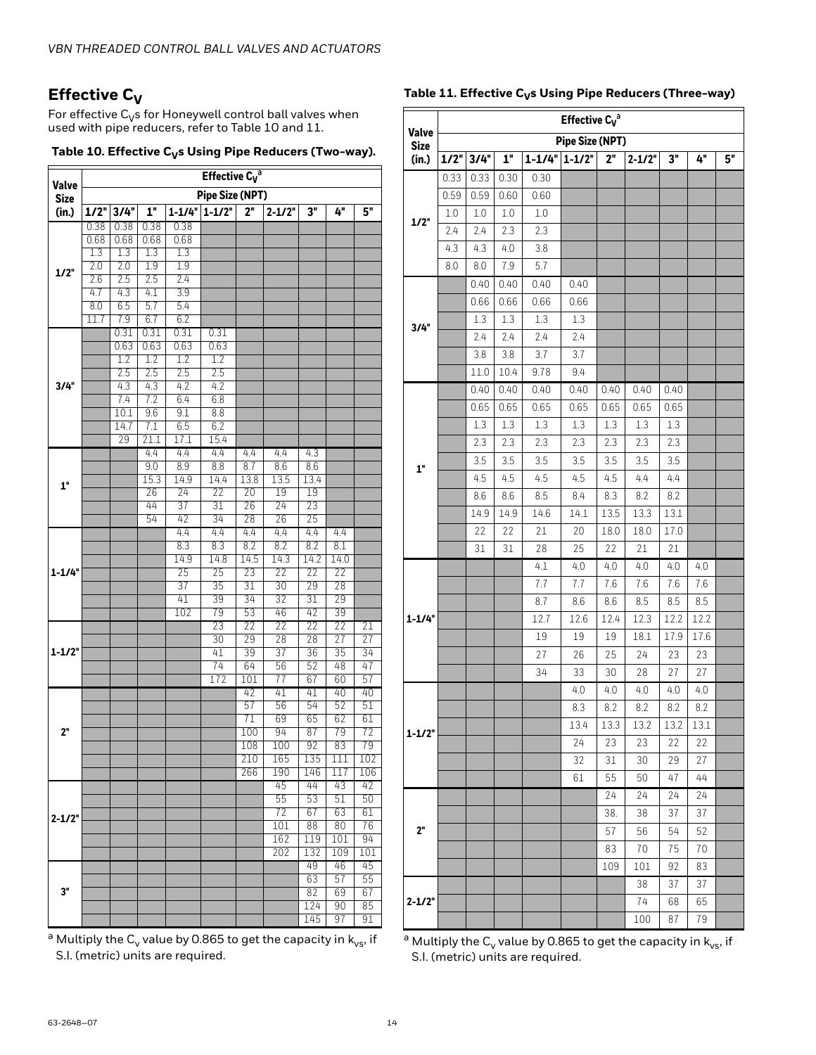### **Effective C<sub>V</sub>**

For effective  $C_V$ s for Honeywell control ball valves when used with pipe reducers, refer to [Table 10](#page-13-0) and [11](#page-13-1).

<span id="page-13-0"></span>

| Table 10. Effective $C_{V}$ s Using Pipe Reducers (Two-way). |  |  |  |
|--------------------------------------------------------------|--|--|--|
|--------------------------------------------------------------|--|--|--|

|                      | Effective $C_V^a$      |            |             |             |             |            |             |             |            |           |  |  |
|----------------------|------------------------|------------|-------------|-------------|-------------|------------|-------------|-------------|------------|-----------|--|--|
| Valve<br><b>Size</b> | <b>Pipe Size (NPT)</b> |            |             |             |             |            |             |             |            |           |  |  |
| (in.)                | $1/2$ "                | 3/4"       | 1"          | $1 - 1/4"$  | $1 - 1/2$   | 2"         | $2 - 1/2"$  | 3"          | 4"         | 5"        |  |  |
|                      | 0.38                   | 0.38       | 0.38        | 0.38        |             |            |             |             |            |           |  |  |
|                      | 0.68                   | 0.68       | 0.68        | 0.68        |             |            |             |             |            |           |  |  |
|                      | 1.3                    | 1.3        | 1.3         | 1.3         |             |            |             |             |            |           |  |  |
| 1/2"                 | 2.0                    | 2.0        | 1.9         | 1.9         |             |            |             |             |            |           |  |  |
|                      | 2.6                    | 2.5        | 2.5         | 2.4         |             |            |             |             |            |           |  |  |
|                      | 4.7<br>8.0             | 4.3<br>6.5 | 4.1<br>5.7  | 3.9<br>5.4  |             |            |             |             |            |           |  |  |
|                      | 11.7                   | 7.9        | 6.7         | 6.2         |             |            |             |             |            |           |  |  |
|                      |                        | 0.31       | 0.31        | 0.31        | 0.31        |            |             |             |            |           |  |  |
|                      |                        | 0.63       | 0.63        | 0.63        | 0.63        |            |             |             |            |           |  |  |
|                      |                        | 1.2        | 1.2         | 1.2         | 1.2         |            |             |             |            |           |  |  |
|                      |                        | 2.5        | 2.5         | 2.5         | 2.5         |            |             |             |            |           |  |  |
| 3/4"                 |                        | 4.3        | 4.3         | 4.2         | 4.2         |            |             |             |            |           |  |  |
|                      |                        | 7.4        | 7.2         | 6.4         | 6.8         |            |             |             |            |           |  |  |
|                      |                        | 10.1       | 9.6         | 9.1         | 8.8         |            |             |             |            |           |  |  |
|                      |                        | 14.7       | 7.1         | 6.5         | 6.2         |            |             |             |            |           |  |  |
|                      |                        | 29         | 21.1        | 17.1        | 15.4        |            |             |             |            |           |  |  |
|                      |                        |            | 4.4         | 4.4         | 4.4         | 4.4        | 4.4         | 4.3         |            |           |  |  |
|                      |                        |            | 9.0<br>15.3 | 8.9<br>14.9 | 8.8<br>14.4 | 8.7        | 8.6<br>13.5 | 8.6<br>13.4 |            |           |  |  |
| 1"                   |                        |            | 26          | 24          | 22          | 13.8<br>20 | 19          | 19          |            |           |  |  |
|                      |                        |            | 44          | 37          | 31          | 26         | 24          | 23          |            |           |  |  |
|                      |                        |            | 54          | 42          | 34          | 28         | 26          | 25          |            |           |  |  |
|                      |                        |            |             | 4.4         | 4.4         | 4.4        | 4.4         | 4.4         | 4.4        |           |  |  |
|                      |                        |            |             | 8.3         | 8.3         | 8.2        | 8.2         | 8.2         | 8.1        |           |  |  |
|                      |                        |            |             | 14.9        | 14.8        | 14.5       | 14.3        | 14.2        | 14.0       |           |  |  |
| $1 - 1/4"$           |                        |            |             | 25          | 25          | 23         | 22          | 22          | 22         |           |  |  |
|                      |                        |            |             | 37          | 35          | 31         | 30          | 29          | 28         |           |  |  |
|                      |                        |            |             | 41          | 39          | 34         | 32          | 31          | 29         |           |  |  |
|                      |                        |            |             | 102         | 79          | 53         | 46          | 42          | 39         |           |  |  |
|                      |                        |            |             |             | 23          | 22         | 22          | 22          | 22         | 21        |  |  |
|                      |                        |            |             |             | 30          | 29         | 28          | 28          | 27         | 27        |  |  |
| 1-1/2"               |                        |            |             |             | 41          | 39         | 37          | 36          | 35         | 34        |  |  |
|                      |                        |            |             |             | 74<br>172   | 64<br>101  | 56<br>77    | 52<br>67    | 48<br>60   | 47<br>57  |  |  |
|                      |                        |            |             |             |             | 42         | 41          | 41          | 40         | 40        |  |  |
|                      |                        |            |             |             |             | 57         | 56          | 54          | 52         | 51        |  |  |
|                      |                        |            |             |             |             | 71         | 69          | 65          | 62         | 61        |  |  |
| 2"                   |                        |            |             |             |             | 100        | 94          | 87          | 79         | 72        |  |  |
|                      |                        |            |             |             |             | 108        | 100         | 92          | 83         | 79        |  |  |
|                      |                        |            |             |             |             | 210        | 165         | 135         | 111        | 102       |  |  |
|                      |                        |            |             |             |             | 266        | 190         | 146         | 117        | 106       |  |  |
| $2 - 1/2"$           |                        |            |             |             |             |            | 45          | 44          | 43         | 42        |  |  |
|                      |                        |            |             |             |             |            | 55          | 53          | 51         | 50        |  |  |
|                      |                        |            |             |             |             |            | 72          | 67          | 63         | 61        |  |  |
|                      |                        |            |             |             |             |            | 101         | 88          | 80         | 76        |  |  |
|                      |                        |            |             |             |             |            | 162         | 119         | 101<br>109 | 94        |  |  |
|                      |                        |            |             |             |             |            | 202         | 132<br>49   | 46         | 101<br>45 |  |  |
|                      |                        |            |             |             |             |            |             | 63          | 57         | 55        |  |  |
| 3"                   |                        |            |             |             |             |            |             | 82          | 69         | 67        |  |  |
|                      |                        |            |             |             |             |            |             | 124         | 90         | 85        |  |  |
|                      |                        |            |             |             |             |            |             | 145         | 97         | 91        |  |  |

<span id="page-13-1"></span>

| Table 11. Effective ${\sf C_V}$ s Using Pipe Reducers (Three-way) |  |
|-------------------------------------------------------------------|--|

|                             | Effective $C_V^a$      |      |      |                         |      |      |            |      |      |    |  |  |
|-----------------------------|------------------------|------|------|-------------------------|------|------|------------|------|------|----|--|--|
| <b>Valve</b><br><b>Size</b> | <b>Pipe Size (NPT)</b> |      |      |                         |      |      |            |      |      |    |  |  |
| (in.)                       | 1/2"                   | 3/4" | 1"   | $1 - 1/4$ " $1 - 1/2$ " |      | 2"   | $2 - 1/2"$ | 3"   | 4"   | 5" |  |  |
| 1/2"                        | 0.33                   | 0.33 | 0.30 | 0.30                    |      |      |            |      |      |    |  |  |
|                             | 0.59                   | 0.59 | 0.60 | 0.60                    |      |      |            |      |      |    |  |  |
|                             | 1.0                    | 1.0  | 1.0  | 1.0                     |      |      |            |      |      |    |  |  |
|                             | 2.4                    | 2.4  | 2.3  | 2.3                     |      |      |            |      |      |    |  |  |
|                             | 4.3                    | 4.3  | 4.0  | 3.8                     |      |      |            |      |      |    |  |  |
|                             | 8.0                    | 8.0  | 7.9  | 5.7                     |      |      |            |      |      |    |  |  |
|                             |                        | 0.40 | 0.40 | 0.40                    | 0.40 |      |            |      |      |    |  |  |
|                             |                        | 0.66 | 0.66 | 0.66                    | 0.66 |      |            |      |      |    |  |  |
| 3/4"                        |                        | 1.3  | 1.3  | 1.3                     | 1.3  |      |            |      |      |    |  |  |
|                             |                        | 2.4  | 2.4  | 2.4                     | 2.4  |      |            |      |      |    |  |  |
|                             |                        | 3.8  | 3.8  | 3.7                     | 3.7  |      |            |      |      |    |  |  |
|                             |                        | 11.0 | 10.4 | 9.78                    | 9.4  |      |            |      |      |    |  |  |
|                             |                        | 0.40 | 0.40 | 0.40                    | 0.40 | 0.40 | 0.40       | 0.40 |      |    |  |  |
|                             |                        | 0.65 | 0.65 | 0.65                    | 0.65 | 0.65 | 0.65       | 0.65 |      |    |  |  |
|                             |                        | 1.3  | 1.3  | 1.3                     | 1.3  | 1.3  | 1.3        | 1.3  |      |    |  |  |
|                             |                        | 2.3  | 2.3  | 2.3                     | 2.3  | 2.3  | 2.3        | 2.3  |      |    |  |  |
| 1"                          |                        | 3.5  | 3.5  | 3.5                     | 3.5  | 3.5  | 3.5        | 3.5  |      |    |  |  |
|                             |                        | 4.5  | 4.5  | 4.5                     | 4.5  | 4.5  | 4.4        | 4.4  |      |    |  |  |
|                             |                        | 8.6  | 8.6  | 8.5                     | 8.4  | 8.3  | 8.2        | 8.2  |      |    |  |  |
|                             |                        | 14.9 | 14.9 | 14.6                    | 14.1 | 13.5 | 13.3       | 13.1 |      |    |  |  |
|                             |                        | 22   | 22   | 21                      | 20   | 18.0 | 18.0       | 17.0 |      |    |  |  |
|                             |                        | 31   | 31   | 28                      | 25   | 22   | 21         | 21   |      |    |  |  |
|                             |                        |      |      | 4.1                     | 4.0  | 4.0  | 4.0        | 4.0  | 4.0  |    |  |  |
|                             |                        |      |      | 7.7                     | 7.7  | 7.6  | 7.6        | 7.6  | 7.6  |    |  |  |
|                             |                        |      |      | 8.7                     | 8.6  | 8.6  | 8.5        | 8.5  | 8.5  |    |  |  |
| $1 - 1/4"$                  |                        |      |      | 12.7                    | 12.6 | 12.4 | 12.3       | 12.2 | 12.2 |    |  |  |
|                             |                        |      |      | 19                      | 19   | 19   | 18.1       | 17.9 | 17.6 |    |  |  |
|                             |                        |      |      | 27                      | 26   | 25   | 24         | 23   | 23   |    |  |  |
|                             |                        |      |      | 34                      | 33   | 30   | 28         | 27   | 27   |    |  |  |
|                             |                        |      |      |                         | 4.0  | 4.0  | 4.0        | 4.0  | 4.0  |    |  |  |
| $1 - 1/2"$                  |                        |      |      |                         | 8.3  | 8.2  | 8.2        | 8.2  | 8.2  |    |  |  |
|                             |                        |      |      |                         | 13.4 | 13.3 | 13.2       | 13.2 | 13.1 |    |  |  |
|                             |                        |      |      |                         | 24   | 23   | 23         | 22   | 22   |    |  |  |
| 2"                          |                        |      |      |                         | 32   | 31   | 30         | 29   | 27   |    |  |  |
|                             |                        |      |      |                         | 61   | 55   | 50         | 47   | 44   |    |  |  |
|                             |                        |      |      |                         |      | 24   | 24         | 24   | 24   |    |  |  |
|                             |                        |      |      |                         |      | 38.  | 38         | 37   | 37   |    |  |  |
|                             |                        |      |      |                         |      | 57   | 56         | 54   | 52   |    |  |  |
|                             |                        |      |      |                         |      | 83   | 70         | 75   | 70   |    |  |  |
|                             |                        |      |      |                         |      | 109  | 101        | 92   | 83   |    |  |  |
|                             |                        |      |      |                         |      |      | 38         | 37   | 37   |    |  |  |
| $2 - 1/2"$                  |                        |      |      |                         |      |      | 74         | 68   | 65   |    |  |  |
|                             |                        |      |      |                         |      |      | 100        | 87   | 79   |    |  |  |

<sup>a</sup> Multiply the C<sub>v</sub> value by 0.865 to get the capacity in  $k_{vs}$ , if S.I. (metric) units are required.

<sup>a</sup> Multiply the C<sub>v</sub> value by 0.865 to get the capacity in  $k_{vs}$ , if S.I. (metric) units are required.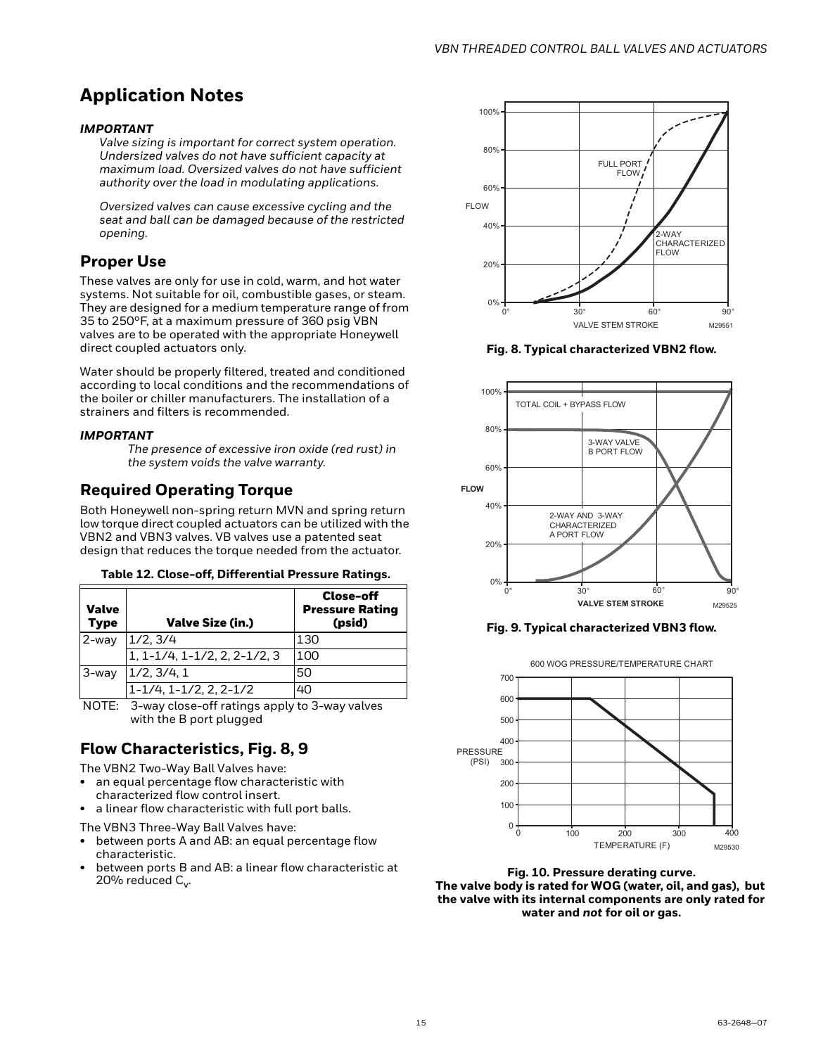### **Application Notes**

### *IMPORTANT*

*Valve sizing is important for correct system operation. Undersized valves do not have sufficient capacity at maximum load. Oversized valves do not have sufficient authority over the load in modulating applications.*

*Oversized valves can cause excessive cycling and the seat and ball can be damaged because of the restricted opening.*

### **Proper Use**

These valves are only for use in cold, warm, and hot water systems. Not suitable for oil, combustible gases, or steam. They are designed for a medium temperature range of from 35 to 250°F, at a maximum pressure of 360 psig VBN valves are to be operated with the appropriate Honeywell direct coupled actuators only.

Water should be properly filtered, treated and conditioned according to local conditions and the recommendations of the boiler or chiller manufacturers. The installation of a strainers and filters is recommended.

### *IMPORTANT*

*The presence of excessive iron oxide (red rust) in the system voids the valve warranty.*

### **Required Operating Torque**

Both Honeywell non-spring return MVN and spring return low torque direct coupled actuators can be utilized with the VBN2 and VBN3 valves. VB valves use a patented seat design that reduces the torque needed from the actuator.

#### **Table 12. Close-off, Differential Pressure Ratings.**

| Valve<br><b>Type</b> | <b>Valve Size (in.)</b>                 | Close-off<br><b>Pressure Rating</b><br>(psid) |
|----------------------|-----------------------------------------|-----------------------------------------------|
| 2-way                | 1/2, 3/4                                | 130                                           |
|                      | $1, 1 - 1/4, 1 - 1/2, 2, 2 - 1/2, 3$    | 100                                           |
| 3-way                | 1/2, 3/4, 1                             | 50                                            |
|                      | $1 - 1/4$ , $1 - 1/2$ , $2$ , $2 - 1/2$ | 40                                            |

NOTE: 3-way close-off ratings apply to 3-way valves with the B port plugged

### **Flow Characteristics, Fig. 8, 9**

The VBN2 Two-Way Ball Valves have:

- an equal percentage flow characteristic with characterized flow control insert.
- a linear flow characteristic with full port balls.

The VBN3 Three-Way Ball Valves have:

- between ports A and AB: an equal percentage flow characteristic.
- between ports B and AB: a linear flow characteristic at 20% reduced  $C_v$ .



**Fig. 8. Typical characterized VBN2 flow.**



**Fig. 9. Typical characterized VBN3 flow.**



**Fig. 10. Pressure derating curve. The valve body is rated for WOG (water, oil, and gas), but the valve with its internal components are only rated for water and** *not* **for oil or gas.**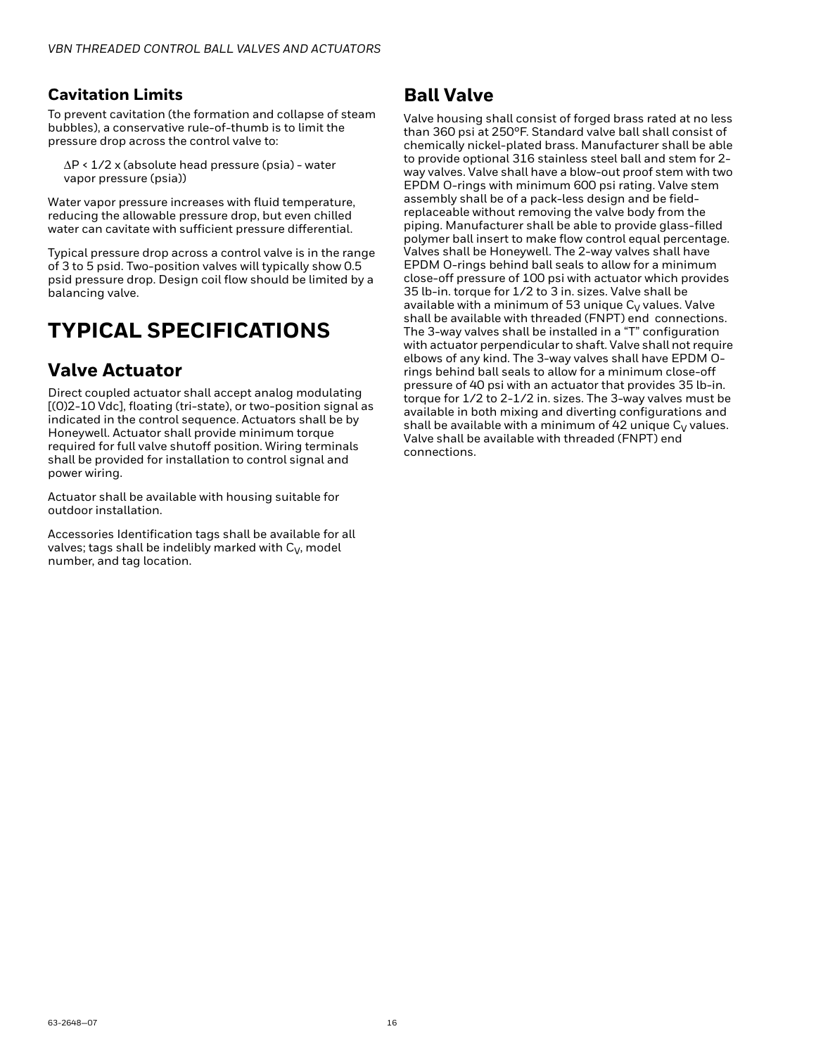### **Cavitation Limits**

To prevent cavitation (the formation and collapse of steam bubbles), a conservative rule-of-thumb is to limit the pressure drop across the control valve to:

ΔP < 1/2 x (absolute head pressure (psia) - water vapor pressure (psia))

Water vapor pressure increases with fluid temperature, reducing the allowable pressure drop, but even chilled water can cavitate with sufficient pressure differential.

Typical pressure drop across a control valve is in the range of 3 to 5 psid. Two-position valves will typically show 0.5 psid pressure drop. Design coil flow should be limited by a balancing valve.

## **TYPICAL SPECIFICATIONS**

### **Valve Actuator**

Direct coupled actuator shall accept analog modulating [(0)2-10 Vdc], floating (tri-state), or two-position signal as indicated in the control sequence. Actuators shall be by Honeywell. Actuator shall provide minimum torque required for full valve shutoff position. Wiring terminals shall be provided for installation to control signal and power wiring.

Actuator shall be available with housing suitable for outdoor installation.

Accessories Identification tags shall be available for all valves; tags shall be indelibly marked with  $C_V$ , model number, and tag location.

### **Ball Valve**

Valve housing shall consist of forged brass rated at no less than 360 psi at 250°F. Standard valve ball shall consist of chemically nickel-plated brass. Manufacturer shall be able to provide optional 316 stainless steel ball and stem for 2 way valves. Valve shall have a blow-out proof stem with two EPDM O-rings with minimum 600 psi rating. Valve stem assembly shall be of a pack-less design and be fieldreplaceable without removing the valve body from the piping. Manufacturer shall be able to provide glass-filled polymer ball insert to make flow control equal percentage. Valves shall be Honeywell. The 2-way valves shall have EPDM O-rings behind ball seals to allow for a minimum close-off pressure of 100 psi with actuator which provides 35 lb-in. torque for 1/2 to 3 in. sizes. Valve shall be available with a minimum of 53 unique  $C_V$  values. Valve shall be available with threaded (FNPT) end connections. The 3-way valves shall be installed in a "T" configuration with actuator perpendicular to shaft. Valve shall not require elbows of any kind. The 3-way valves shall have EPDM Orings behind ball seals to allow for a minimum close-off pressure of 40 psi with an actuator that provides 35 lb-in. torque for 1/2 to 2-1/2 in. sizes. The 3-way valves must be available in both mixing and diverting configurations and shall be available with a minimum of 42 unique  $C_V$  values. Valve shall be available with threaded (FNPT) end connections.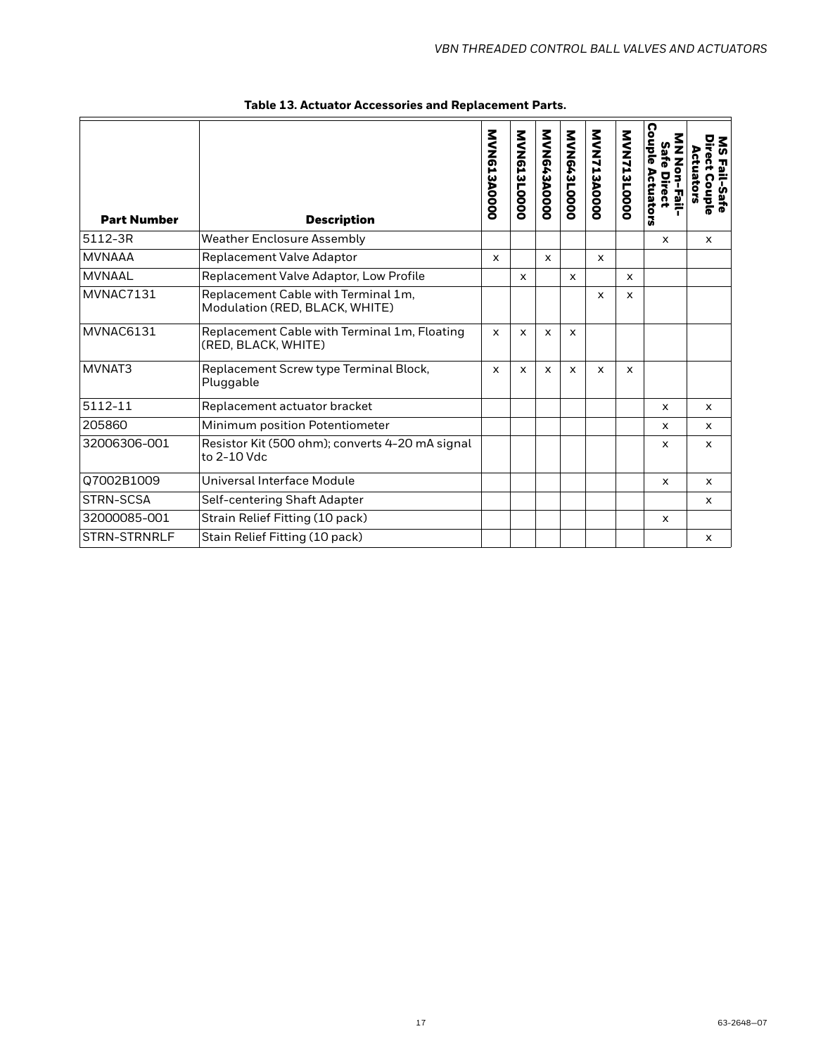| <b>Part Number</b> | <b>Description</b>                                                    | <b>MVN613A0000</b> | MVN613L0000  | MVN643A0000               | MVN643L0000  | <b>MVN713A0000</b> | MVN713L0000  | Couple<br>Safe<br><b>Non-Fail-</b><br>Actuators<br>Direct | υ<br>Σ<br><b>tn</b><br>æ<br>ctuators<br>ភ្ន<br>Fail-Safe<br><b>Couple</b> |
|--------------------|-----------------------------------------------------------------------|--------------------|--------------|---------------------------|--------------|--------------------|--------------|-----------------------------------------------------------|---------------------------------------------------------------------------|
| 5112-3R            | <b>Weather Enclosure Assembly</b>                                     |                    |              |                           |              |                    |              | $\mathsf{x}$                                              | $\mathsf{x}$                                                              |
| <b>MVNAAA</b>      | <b>Replacement Valve Adaptor</b>                                      | $\mathsf{x}$       |              | $\mathsf{x}$              |              | $\mathsf{x}$       |              |                                                           |                                                                           |
| <b>MVNAAL</b>      | Replacement Valve Adaptor, Low Profile                                |                    | $\mathsf{x}$ |                           | $\mathsf{x}$ |                    | $\mathsf{x}$ |                                                           |                                                                           |
| MVNAC7131          | Replacement Cable with Terminal 1m,<br>Modulation (RED, BLACK, WHITE) |                    |              |                           |              | $\mathsf{x}$       | $\mathsf{x}$ |                                                           |                                                                           |
| MVNAC6131          | Replacement Cable with Terminal 1m, Floating<br>(RED, BLACK, WHITE)   | $\mathsf{x}$       | $\mathsf{x}$ | $\boldsymbol{\mathsf{x}}$ | $\mathsf{x}$ |                    |              |                                                           |                                                                           |
| MVNAT3             | Replacement Screw type Terminal Block,<br>Pluggable                   | $\mathsf{x}$       | $\mathsf{x}$ | $\mathsf{x}$              | $\mathsf{x}$ | $\mathsf{x}$       | $\mathsf{x}$ |                                                           |                                                                           |
| 5112-11            | Replacement actuator bracket                                          |                    |              |                           |              |                    |              | $\mathsf{x}$                                              | $\mathsf{x}$                                                              |
| 205860             | Minimum position Potentiometer                                        |                    |              |                           |              |                    |              | $\mathsf{x}$                                              | $\mathsf{x}$                                                              |
| 32006306-001       | Resistor Kit (500 ohm); converts 4-20 mA signal<br>to 2-10 Vdc        |                    |              |                           |              |                    |              | $\mathsf{x}$                                              | $\mathsf{x}$                                                              |
| Q7002B1009         | Universal Interface Module                                            |                    |              |                           |              |                    |              | $\times$                                                  | $\times$                                                                  |
| STRN-SCSA          | Self-centering Shaft Adapter                                          |                    |              |                           |              |                    |              |                                                           | $\mathsf{x}$                                                              |
| 32000085-001       | Strain Relief Fitting (10 pack)                                       |                    |              |                           |              |                    |              | $\times$                                                  |                                                                           |
| STRN-STRNRLF       | Stain Relief Fitting (10 pack)                                        |                    |              |                           |              |                    |              |                                                           | x                                                                         |

**Table 13. Actuator Accessories and Replacement Parts.**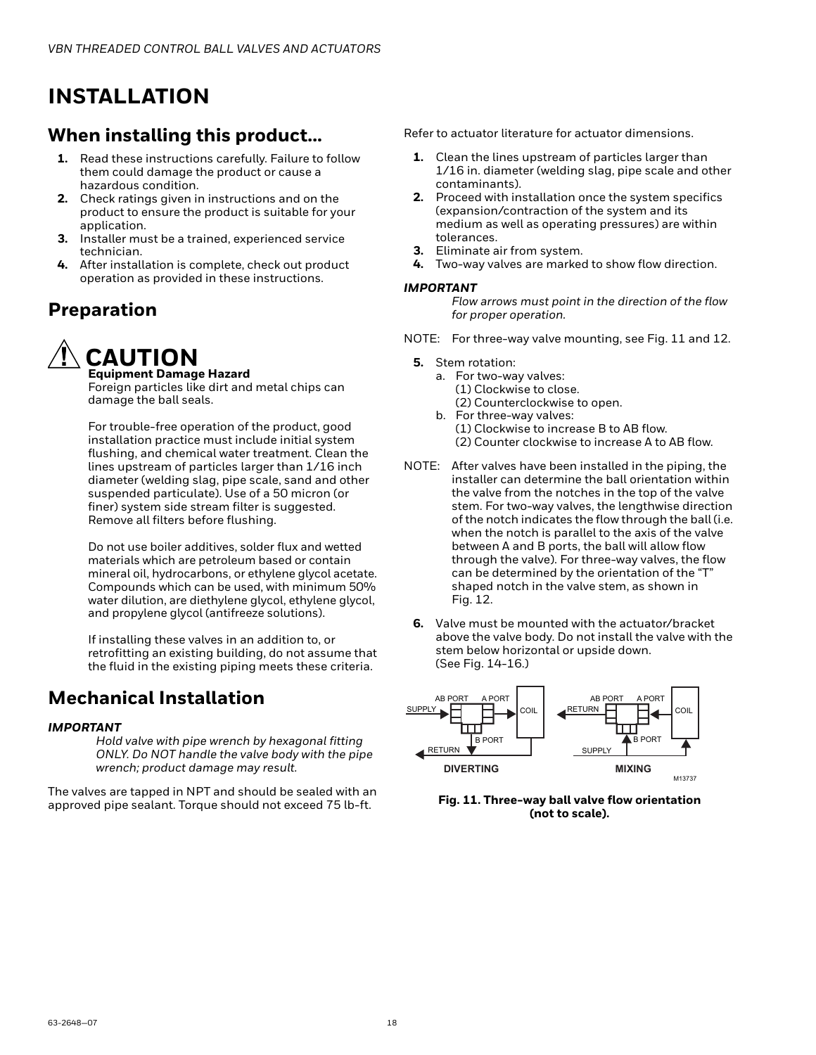## <span id="page-17-0"></span>**INSTALLATION**

### **When installing this product...**

- **1.** Read these instructions carefully. Failure to follow them could damage the product or cause a hazardous condition.
- **2.** Check ratings given in instructions and on the product to ensure the product is suitable for your application.
- **3.** Installer must be a trained, experienced service technician.
- **4.** After installation is complete, check out product operation as provided in these instructions.

### **Preparation**

## **CAUTION**

**Equipment Damage Hazard** Foreign particles like dirt and metal chips can damage the ball seals.

For trouble-free operation of the product, good installation practice must include initial system flushing, and chemical water treatment. Clean the lines upstream of particles larger than 1/16 inch diameter (welding slag, pipe scale, sand and other suspended particulate). Use of a 50 micron (or finer) system side stream filter is suggested. Remove all filters before flushing.

Do not use boiler additives, solder flux and wetted materials which are petroleum based or contain mineral oil, hydrocarbons, or ethylene glycol acetate. Compounds which can be used, with minimum 50% water dilution, are diethylene glycol, ethylene glycol, and propylene glycol (antifreeze solutions).

If installing these valves in an addition to, or retrofitting an existing building, do not assume that the fluid in the existing piping meets these criteria.

### **Mechanical Installation**

### *IMPORTANT*

*Hold valve with pipe wrench by hexagonal fitting ONLY. Do NOT handle the valve body with the pipe wrench; product damage may result.*

The valves are tapped in NPT and should be sealed with an approved pipe sealant. Torque should not exceed 75 lb-ft.

Refer to actuator literature for actuator dimensions.

- **1.** Clean the lines upstream of particles larger than 1/16 in. diameter (welding slag, pipe scale and other contaminants).
- **2.** Proceed with installation once the system specifics (expansion/contraction of the system and its medium as well as operating pressures) are within tolerances.
- **3.** Eliminate air from system.
- **4.** Two-way valves are marked to show flow direction.

### *IMPORTANT*

*Flow arrows must point in the direction of the flow for proper operation.*

- NOTE: For three-way valve mounting, see Fig. 11 and 12.
	- **5.** Stem rotation:
		- a. For two-way valves: (1) Clockwise to close. (2) Counterclockwise to open.
		- b. For three-way valves: (1) Clockwise to increase B to AB flow. (2) Counter clockwise to increase A to AB flow.
- NOTE: After valves have been installed in the piping, the installer can determine the ball orientation within the valve from the notches in the top of the valve stem. For two-way valves, the lengthwise direction of the notch indicates the flow through the ball (i.e. when the notch is parallel to the axis of the valve between A and B ports, the ball will allow flow through the valve). For three-way valves, the flow can be determined by the orientation of the "T" shaped notch in the valve stem, as shown in Fig. 12.
	- **6.** Valve must be mounted with the actuator/bracket above the valve body. Do not install the valve with the stem below horizontal or upside down. (See Fig. 14-16.)



**Fig. 11. Three-way ball valve flow orientation (not to scale).**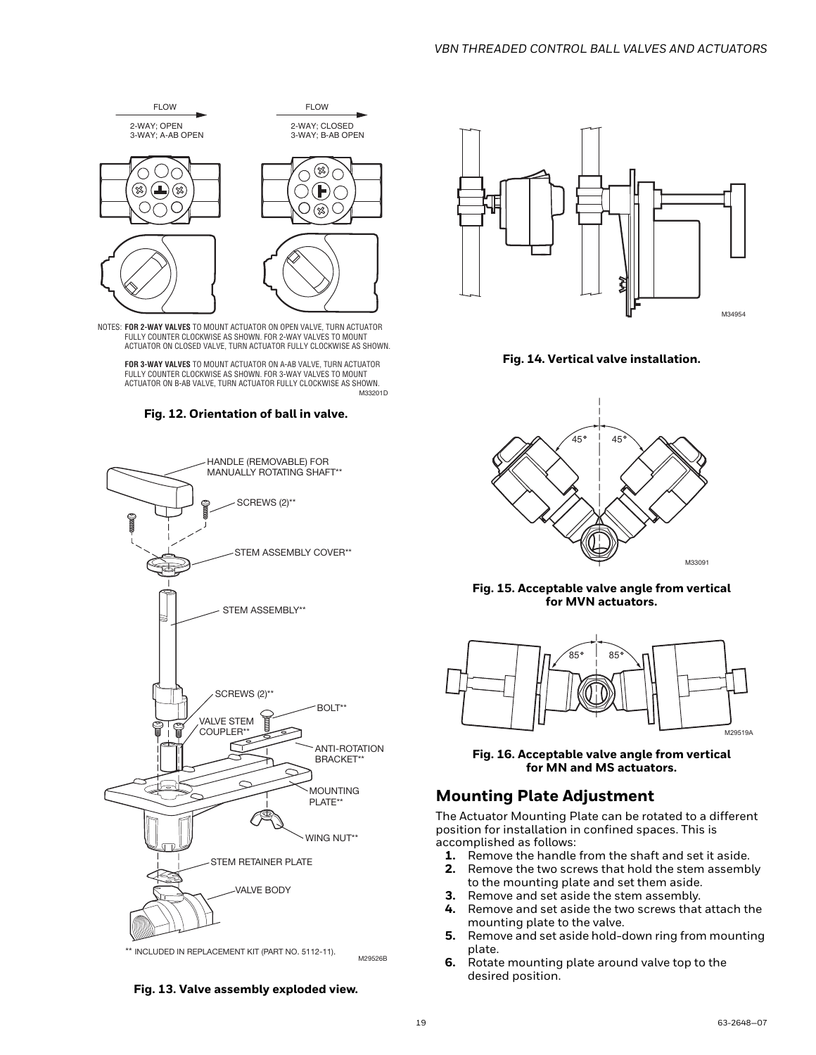

NOTES: **FOR 2-WAY VALVES** TO MOUNT ACTUATOR ON OPEN VALVE, TURN ACTUATOR FULLY COUNTER CLOCKWISE AS SHOWN. FOR 2-WAY VALVES TO MOUNT ACTUATOR ON CLOSED VALVE, TURN ACTUATOR FULLY CLOCKWISE AS SHOWN.

M33201D **FOR 3-WAY VALVES** TO MOUNT ACTUATOR ON A-AB VALVE, TURN ACTUATOR FULLY COUNTER CLOCKWISE AS SHOWN. FOR 3-WAY VALVES TO MOUNT ACTUATOR ON B-AB VALVE, TURN ACTUATOR FULLY CLOCKWISE AS SHOWN.





\*\* INCLUDED IN REPLACEMENT KIT (PART NO. 5112-11).

**Fig. 13. Valve assembly exploded view.**



**Fig. 14. Vertical valve installation.**



**Fig. 15. Acceptable valve angle from vertical for MVN actuators.**



**Fig. 16. Acceptable valve angle from vertical for MN and MS actuators.**

### **Mounting Plate Adjustment**

The Actuator Mounting Plate can be rotated to a different position for installation in confined spaces. This is accomplished as follows:

- **1.** Remove the handle from the shaft and set it aside.
- **2.** Remove the two screws that hold the stem assembly to the mounting plate and set them aside.
- **3.** Remove and set aside the stem assembly.
- **4.** Remove and set aside the two screws that attach the mounting plate to the valve.
- **5.** Remove and set aside hold-down ring from mounting plate.
- **6.** Rotate mounting plate around valve top to the desired position.

M29526B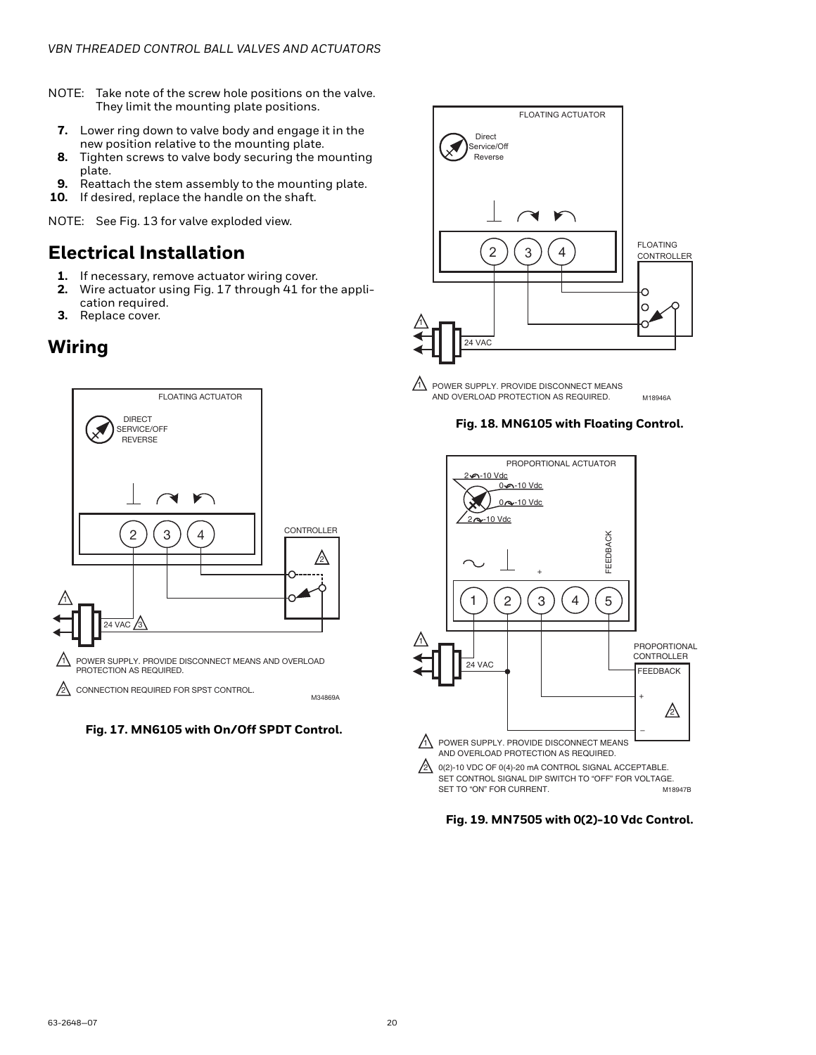- NOTE: Take note of the screw hole positions on the valve. They limit the mounting plate positions.
	- **7.** Lower ring down to valve body and engage it in the new position relative to the mounting plate.
	- **8.** Tighten screws to valve body securing the mounting plate.
	- **9.** Reattach the stem assembly to the mounting plate.
- **10.** If desired, replace the handle on the shaft.

NOTE: See Fig. 13 for valve exploded view.

### **Electrical Installation**

- 
- **1.** If necessary, remove actuator wiring cover.<br>**2.** Wire actuator using Fig. 17 through 41 for **2.** Wire actuator using Fig. 17 through [41](#page-24-1) for the application required.
- **3.** Replace cover.

### **Wiring**







POWER SUPPLY. PROVIDE DISCONNECT MEANS AND OVERLOAD PROTECTION AS REQUIRED.

**Fig. 18. MN6105 with Floating Control.**

M18946A



**Fig. 19. MN7505 with 0(2)-10 Vdc Control.**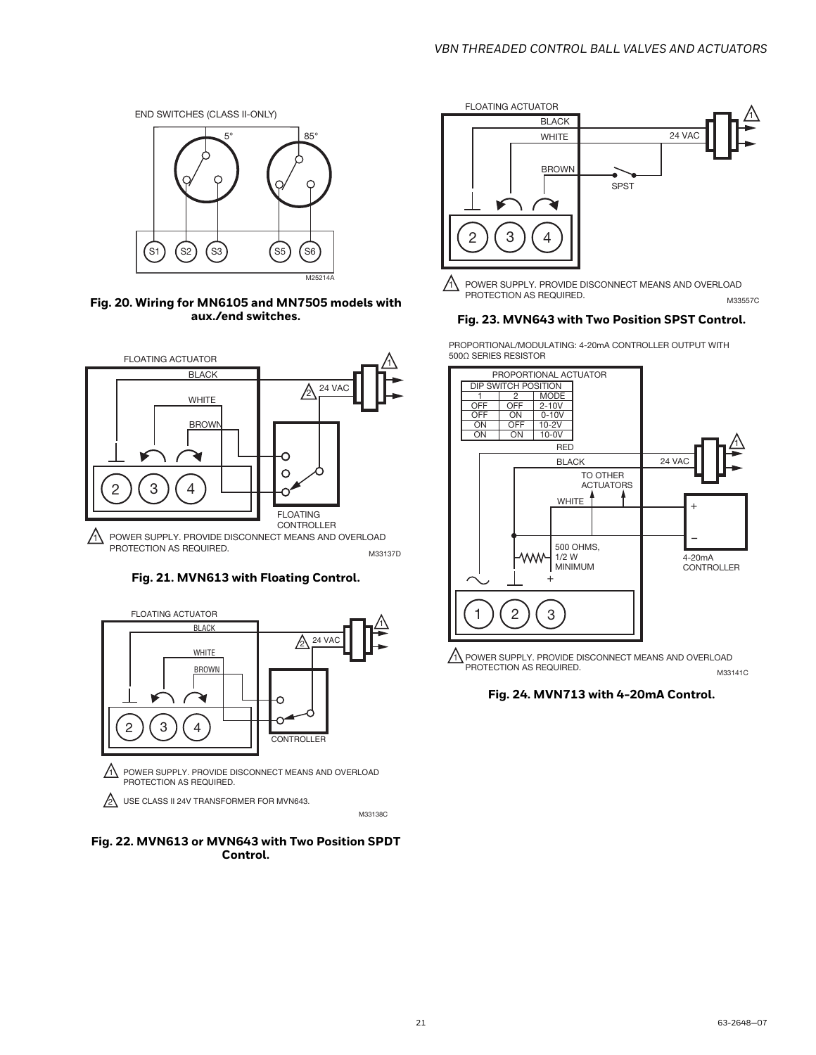

**Fig. 20. Wiring for MN6105 and MN7505 models with aux./end switches.**



**Fig. 21. MVN613 with Floating Control.**



**Fig. 22. MVN613 or MVN643 with Two Position SPDT Control.**



M33557C  $\Lambda$  POWER SUPPLY. PROVIDE DISCONNECT MEANS AND OVERLOAD PROTECTION AS REQUIRED.

### **Fig. 23. MVN643 with Two Position SPST Control.**

PROPORTIONAL/MODULATING: 4-20mA CONTROLLER OUTPUT WITH 500Ω SERIES RESISTOR



 $\Lambda$  POWER SUPPLY. PROVIDE DISCONNECT MEANS AND OVERLOAD PROTECTION AS REQUIRED. M33141C

**Fig. 24. MVN713 with 4-20mA Control.**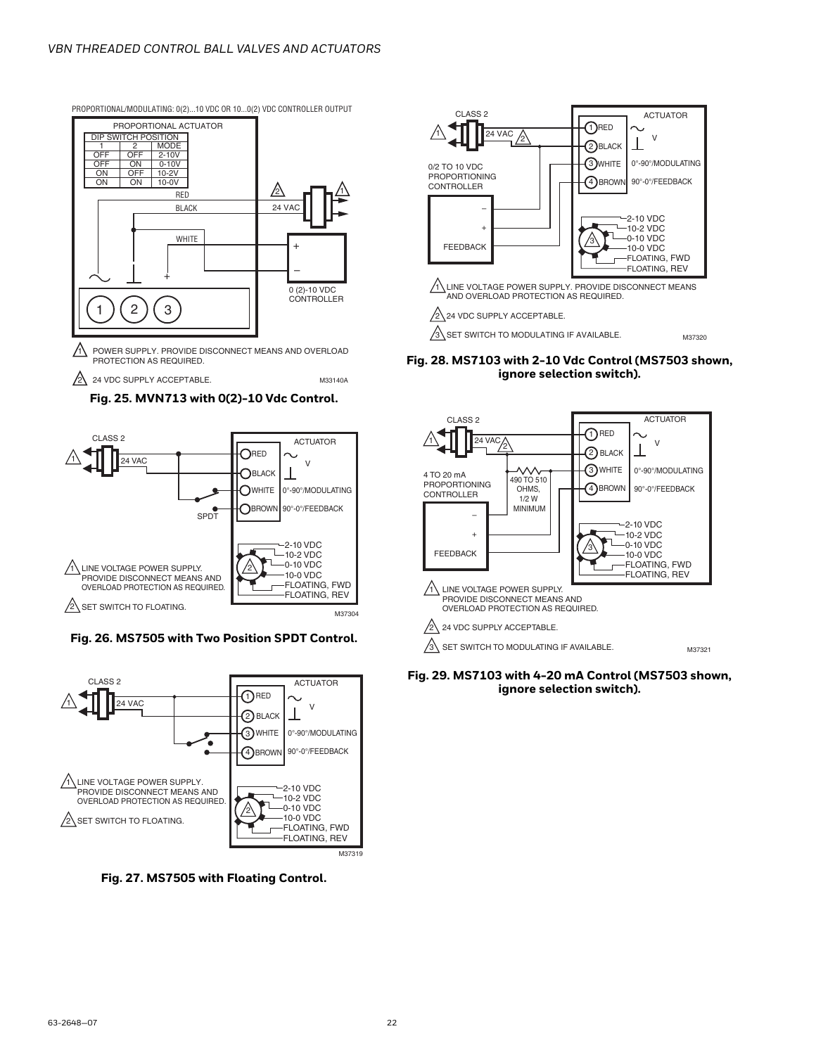

PROPORTIONAL/MODULATING: 0(2)...10 VDC OR 10...0(2) VDC CONTROLLER OUTPUT

PROTECTION AS REQUIRED.







### **Fig. 26. MS7505 with Two Position SPDT Control.**



**Fig. 27. MS7505 with Floating Control.**



3 SET SWITCH TO MODULATING IF AVAILABLE.

**Fig. 28. MS7103 with 2-10 Vdc Control (MS7503 shown, ignore selection switch).**

M37320



**Fig. 29. MS7103 with 4-20 mA Control (MS7503 shown, ignore selection switch).**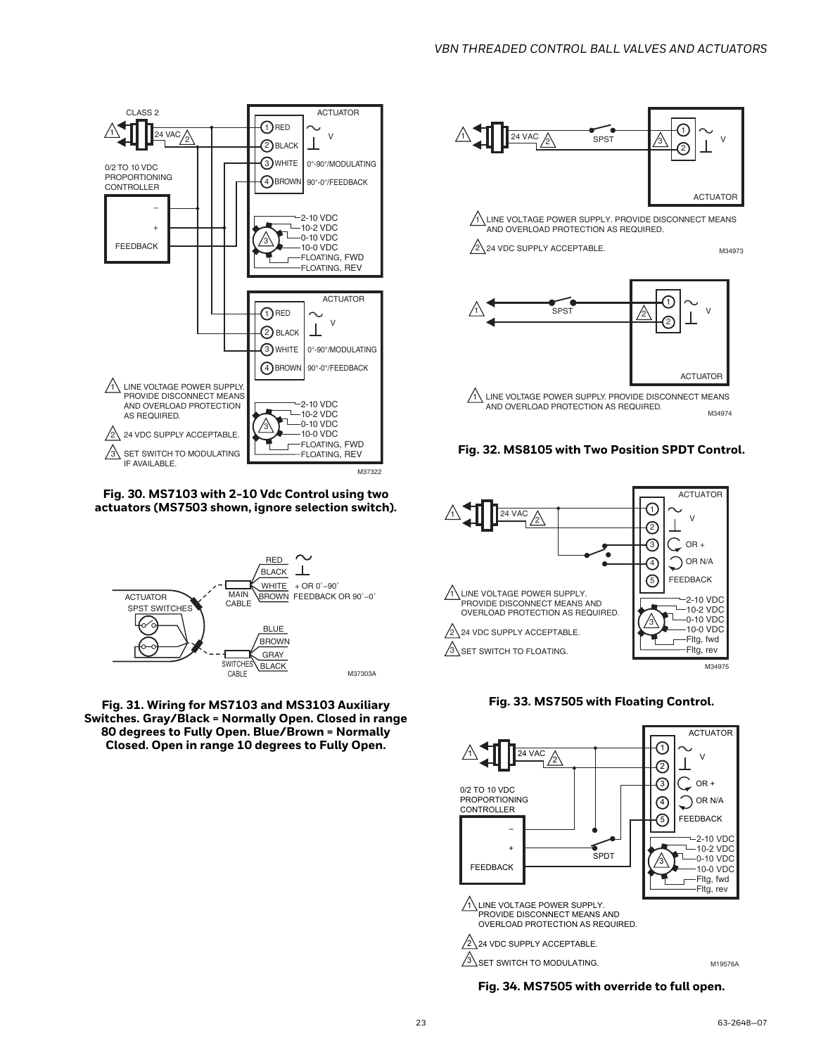

**Fig. 30. MS7103 with 2-10 Vdc Control using two actuators (MS7503 shown, ignore selection switch).**



**Fig. 31. Wiring for MS7103 and MS3103 Auxiliary Switches. Gray/Black = Normally Open. Closed in range 80 degrees to Fully Open. Blue/Brown = Normally Closed. Open in range 10 degrees to Fully Open.**



2 24 VDC SUPPLY ACCEPTABLE.











**Fig. 34. MS7505 with override to full open.**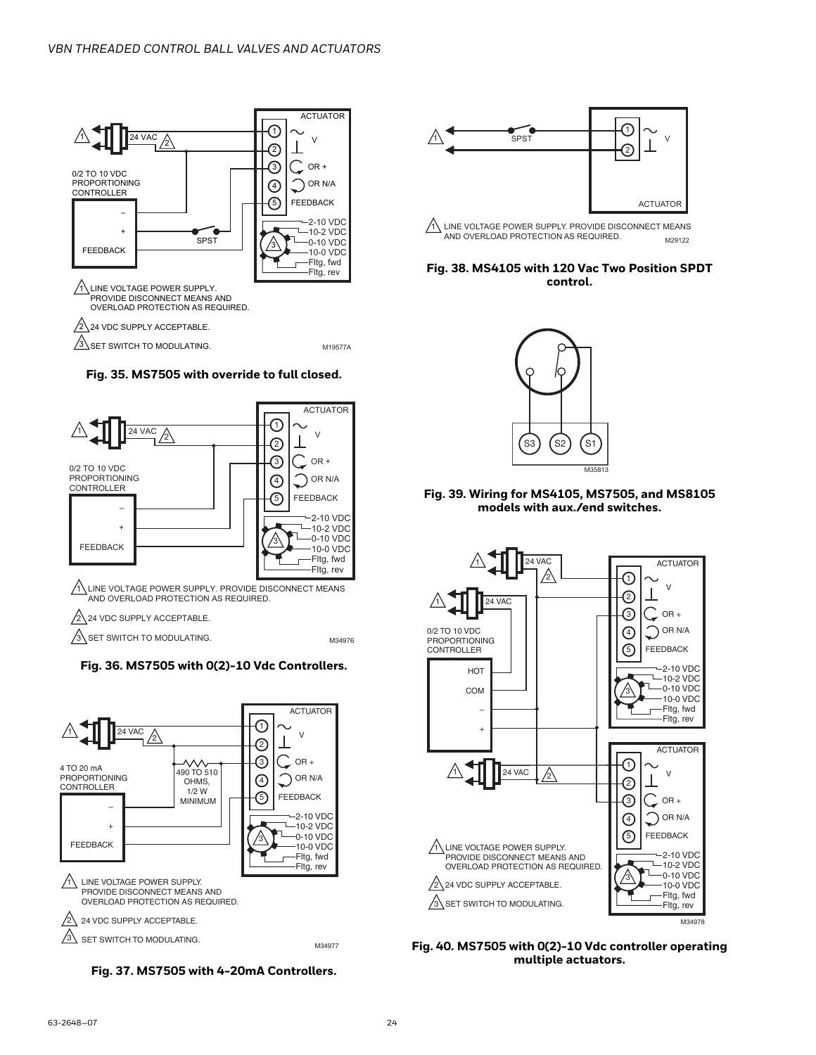

### **Fig. 35. MS7505 with override to full closed.**





**Fig. 37. MS7505 with 4-20mA Controllers.**



 $\sqrt{1}$  LINE VOLTAGE POWER SUPPLY. PROVIDE DISCONNECT MEANS AND OVERLOAD PROTECTION AS REQUIRED. M29122

#### **Fig. 38. MS4105 with 120 Vac Two Position SPDT control.**



#### **Fig. 39. Wiring for MS4105, MS7505, and MS8105 models with aux./end switches.**



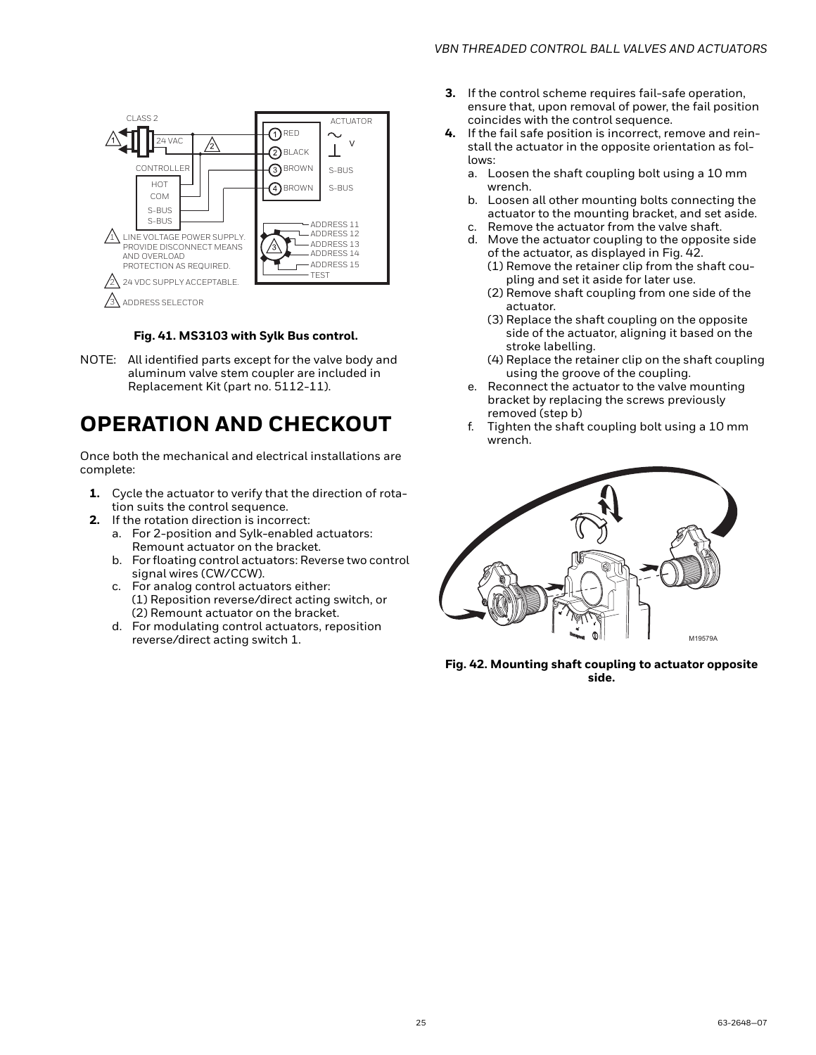

#### **Fig. 41. MS3103 with Sylk Bus control.**

<span id="page-24-1"></span>NOTE: All identified parts except for the valve body and aluminum valve stem coupler are included in Replacement Kit (part no. 5112-11).

## <span id="page-24-0"></span>**OPERATION AND CHECKOUT**

Once both the mechanical and electrical installations are complete:

- **1.** Cycle the actuator to verify that the direction of rotation suits the control sequence.
- **2.** If the rotation direction is incorrect:
	- a. For 2-position and Sylk-enabled actuators: Remount actuator on the bracket.
	- b. For floating control actuators: Reverse two control signal wires (CW/CCW).
	- c. For analog control actuators either: (1) Reposition reverse/direct acting switch, or (2) Remount actuator on the bracket.
	- d. For modulating control actuators, reposition reverse/direct acting switch 1.
- **3.** If the control scheme requires fail-safe operation, ensure that, upon removal of power, the fail position coincides with the control sequence.
- **4.** If the fail safe position is incorrect, remove and reinstall the actuator in the opposite orientation as follows:
	- a. Loosen the shaft coupling bolt using a 10 mm wrench.
	- b. Loosen all other mounting bolts connecting the actuator to the mounting bracket, and set aside.
	- c. Remove the actuator from the valve shaft.
	- d. Move the actuator coupling to the opposite side of the actuator, as displayed in [Fig. 42.](#page-24-2)
		- (1) Remove the retainer clip from the shaft coupling and set it aside for later use.
		- (2) Remove shaft coupling from one side of the actuator.
		- (3) Replace the shaft coupling on the opposite side of the actuator, aligning it based on the stroke labelling.
		- (4) Replace the retainer clip on the shaft coupling using the groove of the coupling.
	- e. Reconnect the actuator to the valve mounting bracket by replacing the screws previously removed (step b)
	- f. Tighten the shaft coupling bolt using a 10 mm wrench.

<span id="page-24-2"></span>

**Fig. 42. Mounting shaft coupling to actuator opposite side.**